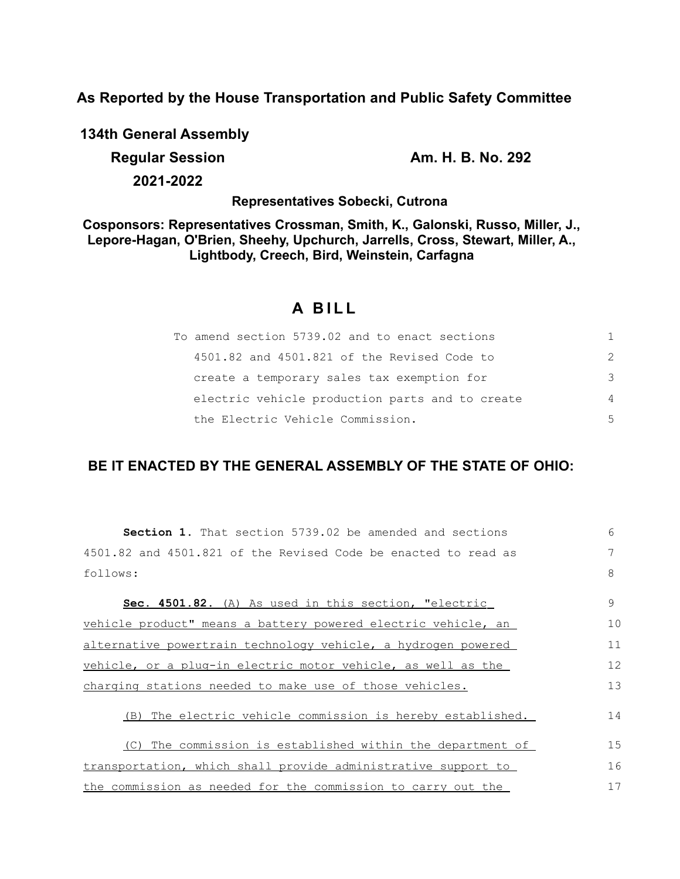**As Reported by the House Transportation and Public Safety Committee**

**134th General Assembly**

**2021-2022**

**Regular Session Am. H. B. No. 292** 

**Representatives Sobecki, Cutrona**

**Cosponsors: Representatives Crossman, Smith, K., Galonski, Russo, Miller, J., Lepore-Hagan, O'Brien, Sheehy, Upchurch, Jarrells, Cross, Stewart, Miller, A., Lightbody, Creech, Bird, Weinstein, Carfagna**

# **A BILL**

| To amend section 5739.02 and to enact sections  | 1.            |
|-------------------------------------------------|---------------|
| 4501.82 and 4501.821 of the Revised Code to     | $\mathcal{P}$ |
| create a temporary sales tax exemption for      | 3             |
| electric vehicle production parts and to create | 4             |
| the Electric Vehicle Commission.                | 5             |

# **BE IT ENACTED BY THE GENERAL ASSEMBLY OF THE STATE OF OHIO:**

| <b>Section 1.</b> That section 5739.02 be amended and sections | 6  |
|----------------------------------------------------------------|----|
| 4501.82 and 4501.821 of the Revised Code be enacted to read as | 7  |
| follows:                                                       | 8  |
| Sec. 4501.82. (A) As used in this section, "electric           | 9  |
| vehicle product" means a battery powered electric vehicle, an  | 10 |
| alternative powertrain technology vehicle, a hydrogen powered  | 11 |
| vehicle, or a plug-in electric motor vehicle, as well as the   | 12 |
| charging stations needed to make use of those vehicles.        | 13 |
| (B) The electric vehicle commission is hereby established.     | 14 |
| (C) The commission is established within the department of     | 15 |
| transportation, which shall provide administrative support to  | 16 |
| the commission as needed for the commission to carry out the   | 17 |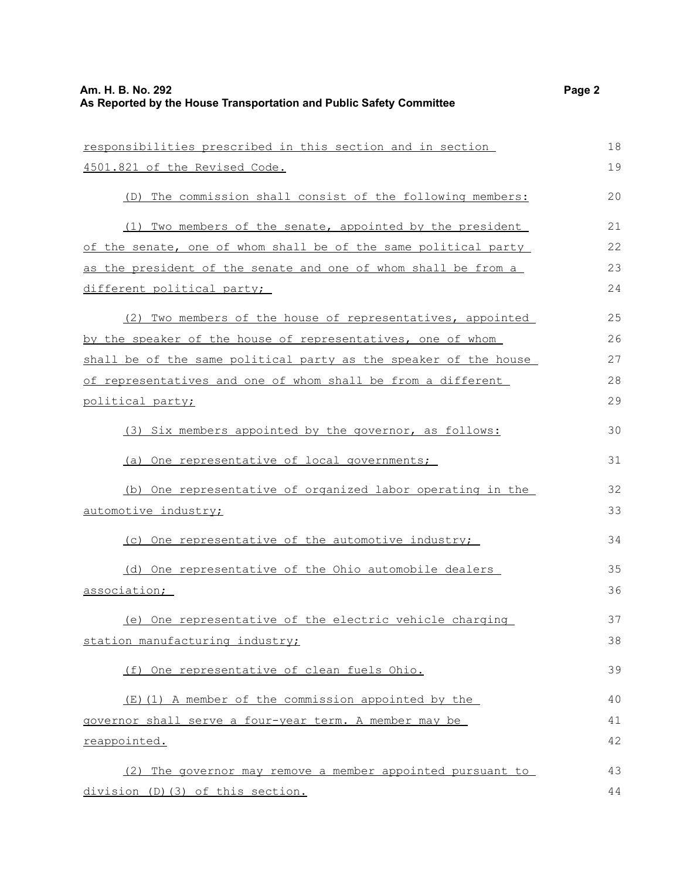| responsibilities prescribed in this section and in section       | 18 |
|------------------------------------------------------------------|----|
| 4501.821 of the Revised Code.                                    | 19 |
| (D) The commission shall consist of the following members:       | 20 |
| Two members of the senate, appointed by the president<br>(1)     | 21 |
| of the senate, one of whom shall be of the same political party  | 22 |
| as the president of the senate and one of whom shall be from a   | 23 |
| different political party;                                       | 24 |
| (2) Two members of the house of representatives, appointed       | 25 |
| by the speaker of the house of representatives, one of whom      | 26 |
| shall be of the same political party as the speaker of the house | 27 |
| of representatives and one of whom shall be from a different     | 28 |
| political party;                                                 | 29 |
| (3) Six members appointed by the governor, as follows:           | 30 |
| (a) One representative of local governments;                     | 31 |
| (b) One representative of organized labor operating in the       | 32 |
| automotive industry;                                             | 33 |
| (c) One representative of the automotive industry;               | 34 |
| (d) One representative of the Ohio automobile dealers            | 35 |
| association;                                                     | 36 |
| (e) One representative of the electric vehicle charging          | 37 |
| station manufacturing industry;                                  | 38 |
| (f) One representative of clean fuels Ohio.                      | 39 |
| (E) (1) A member of the commission appointed by the              | 40 |
| governor shall serve a four-year term. A member may be           | 41 |
| reappointed.                                                     | 42 |
| (2) The governor may remove a member appointed pursuant to       | 43 |
| division (D) (3) of this section.                                | 44 |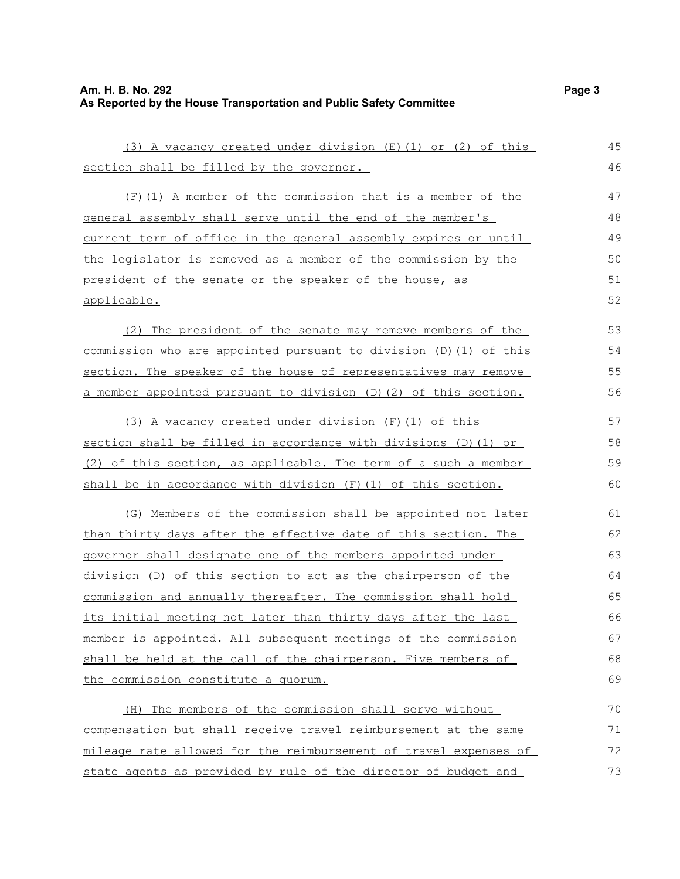# **Am. H. B. No. 292** Page 3 **As Reported by the House Transportation and Public Safety Committee**

| (3) A vacancy created under division (E) (1) or (2) of this           | 45 |
|-----------------------------------------------------------------------|----|
| section shall be filled by the governor.                              | 46 |
| (F) (1) A member of the commission that is a member of the            | 47 |
| general assembly shall serve until the end of the member's            | 48 |
| current term of office in the general assembly expires or until       | 49 |
| the legislator is removed as a member of the commission by the        | 50 |
| president of the senate or the speaker of the house, as               | 51 |
| applicable.                                                           | 52 |
| The president of the senate may remove members of the<br>(2)          | 53 |
| commission who are appointed pursuant to division (D) (1) of this     | 54 |
| section. The speaker of the house of representatives may remove       | 55 |
| a member appointed pursuant to division (D) (2) of this section.      | 56 |
| (3) A vacancy created under division (F) (1) of this                  | 57 |
| section shall be filled in accordance with divisions (D) (1) or       | 58 |
| (2) of this section, as applicable. The term of a such a member       | 59 |
| shall be in accordance with division (F) (1) of this section.         | 60 |
| (G) Members of the commission shall be appointed not later            | 61 |
| than thirty days after the effective date of this section. The        | 62 |
| governor shall designate one of the members appointed under           | 63 |
| <u>division (D) of this section to act as the chairperson of the </u> | 64 |
| commission and annually thereafter. The commission shall hold         | 65 |
| its initial meeting not later than thirty days after the last         | 66 |
| member is appointed. All subsequent meetings of the commission        | 67 |
| shall be held at the call of the chairperson. Five members of         | 68 |
| the commission constitute a quorum.                                   | 69 |
| (H) The members of the commission shall serve without                 | 70 |
| compensation but shall receive travel reimbursement at the same       | 71 |
| mileage rate allowed for the reimbursement of travel expenses of      | 72 |
| state agents as provided by rule of the director of budget and        | 73 |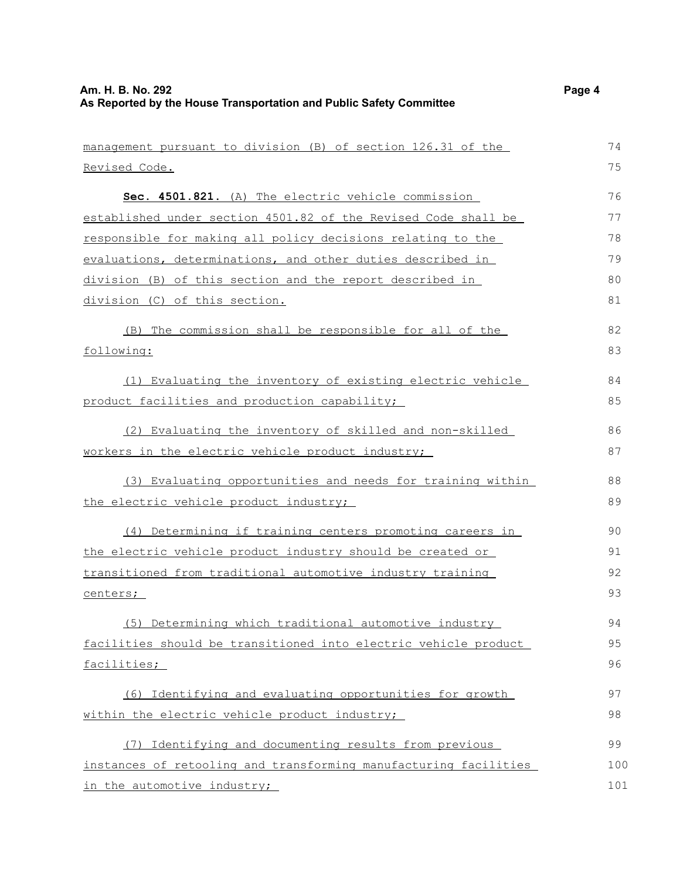management pursuant to division (B) of section 126.31 of the Revised Code. **Sec. 4501.821.** (A) The electric vehicle commission established under section 4501.82 of the Revised Code shall be responsible for making all policy decisions relating to the evaluations, determinations, and other duties described in division (B) of this section and the report described in division (C) of this section. (B) The commission shall be responsible for all of the following: (1) Evaluating the inventory of existing electric vehicle product facilities and production capability; (2) Evaluating the inventory of skilled and non-skilled workers in the electric vehicle product industry; (3) Evaluating opportunities and needs for training within the electric vehicle product industry; (4) Determining if training centers promoting careers in the electric vehicle product industry should be created or transitioned from traditional automotive industry training centers; (5) Determining which traditional automotive industry facilities should be transitioned into electric vehicle product facilities; (6) Identifying and evaluating opportunities for growth within the electric vehicle product industry; (7) Identifying and documenting results from previous instances of retooling and transforming manufacturing facilities in the automotive industry; 74 75 76 77 78 79  $80$ 81 82 83 84 85 86 87 88 89  $90$ 91 92 93 94 95 96 97 98 99 100 101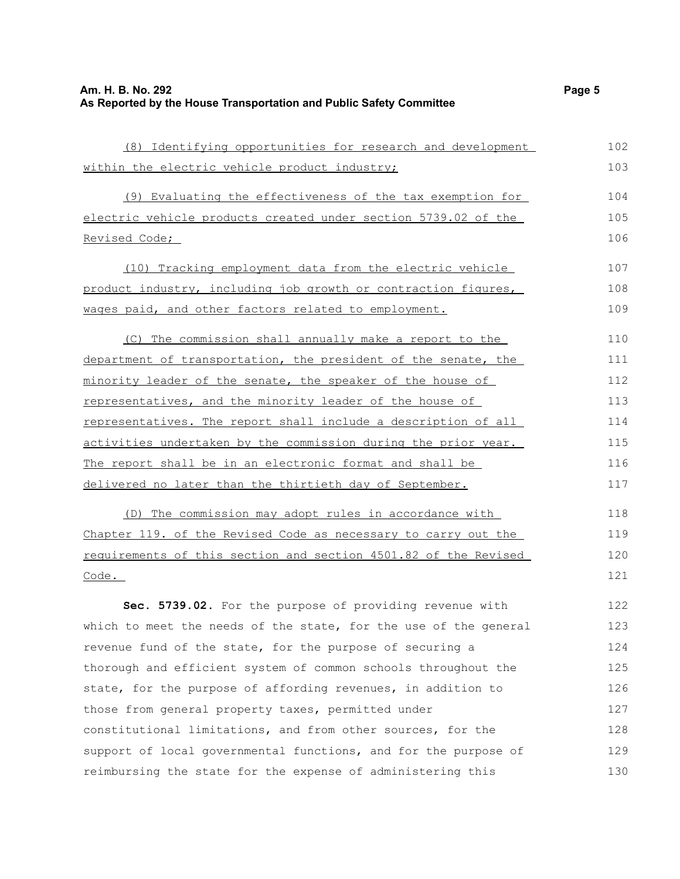| (8) Identifying opportunities for research and development       | 102 |
|------------------------------------------------------------------|-----|
| within the electric vehicle product industry;                    | 103 |
| (9) Evaluating the effectiveness of the tax exemption for        | 104 |
| electric vehicle products created under section 5739.02 of the   | 105 |
| Revised Code;                                                    | 106 |
| (10) Tracking employment data from the electric vehicle          | 107 |
| product industry, including job growth or contraction figures,   | 108 |
| wages paid, and other factors related to employment.             | 109 |
| (C) The commission shall annually make a report to the           | 110 |
| department of transportation, the president of the senate, the   | 111 |
| minority leader of the senate, the speaker of the house of       | 112 |
| representatives, and the minority leader of the house of         | 113 |
| representatives. The report shall include a description of all   | 114 |
| activities undertaken by the commission during the prior year.   | 115 |
| The report shall be in an electronic format and shall be         | 116 |
| delivered no later than the thirtieth day of September.          | 117 |
| (D) The commission may adopt rules in accordance with            | 118 |
| Chapter 119. of the Revised Code as necessary to carry out the   | 119 |
| requirements of this section and section 4501.82 of the Revised  | 120 |
| Code.                                                            | 121 |
| Sec. 5739.02. For the purpose of providing revenue with          | 122 |
| which to meet the needs of the state, for the use of the general | 123 |
| revenue fund of the state, for the purpose of securing a         | 124 |
| thorough and efficient system of common schools throughout the   | 125 |
| state, for the purpose of affording revenues, in addition to     | 126 |
| those from general property taxes, permitted under               | 127 |
| constitutional limitations, and from other sources, for the      | 128 |
| support of local governmental functions, and for the purpose of  | 129 |
| reimbursing the state for the expense of administering this      | 130 |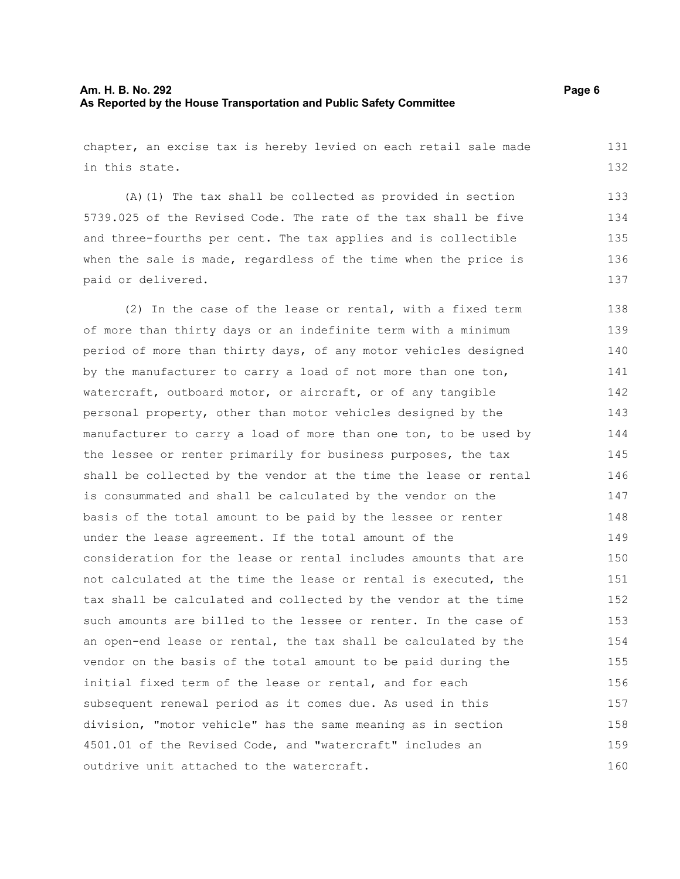# **Am. H. B. No. 292** Page 6 **As Reported by the House Transportation and Public Safety Committee**

chapter, an excise tax is hereby levied on each retail sale made in this state. 131 132

(A)(1) The tax shall be collected as provided in section 5739.025 of the Revised Code. The rate of the tax shall be five and three-fourths per cent. The tax applies and is collectible when the sale is made, regardless of the time when the price is paid or delivered. 133 134 135 136 137

(2) In the case of the lease or rental, with a fixed term of more than thirty days or an indefinite term with a minimum period of more than thirty days, of any motor vehicles designed by the manufacturer to carry a load of not more than one ton, watercraft, outboard motor, or aircraft, or of any tangible personal property, other than motor vehicles designed by the manufacturer to carry a load of more than one ton, to be used by the lessee or renter primarily for business purposes, the tax shall be collected by the vendor at the time the lease or rental is consummated and shall be calculated by the vendor on the basis of the total amount to be paid by the lessee or renter under the lease agreement. If the total amount of the consideration for the lease or rental includes amounts that are not calculated at the time the lease or rental is executed, the tax shall be calculated and collected by the vendor at the time such amounts are billed to the lessee or renter. In the case of an open-end lease or rental, the tax shall be calculated by the vendor on the basis of the total amount to be paid during the initial fixed term of the lease or rental, and for each subsequent renewal period as it comes due. As used in this division, "motor vehicle" has the same meaning as in section 4501.01 of the Revised Code, and "watercraft" includes an outdrive unit attached to the watercraft. 138 139 140 141 142 143 144 145 146 147 148 149 150 151 152 153 154 155 156 157 158 159 160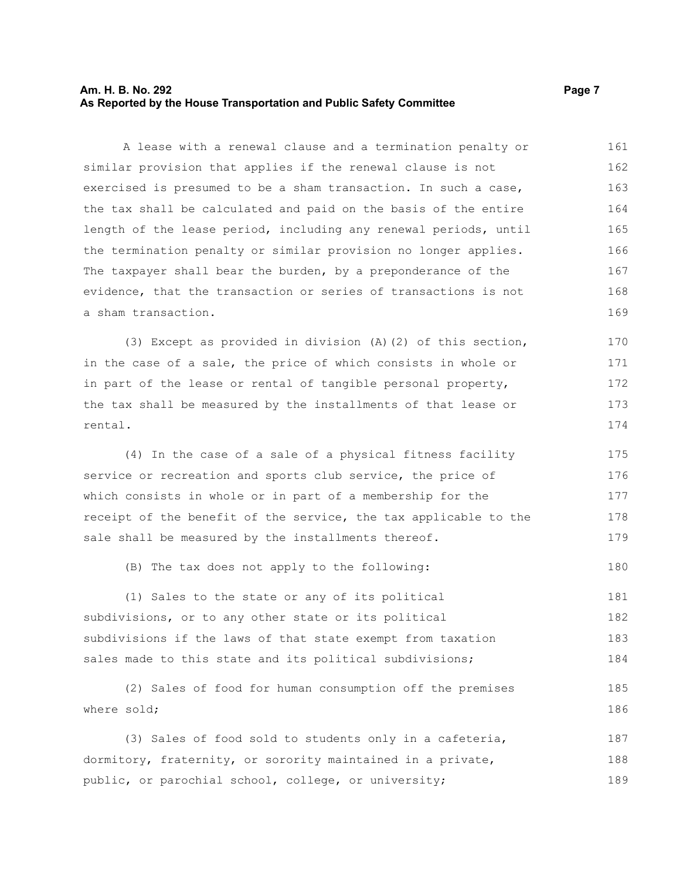# **Am. H. B. No. 292 Page 7 As Reported by the House Transportation and Public Safety Committee**

A lease with a renewal clause and a termination penalty or similar provision that applies if the renewal clause is not exercised is presumed to be a sham transaction. In such a case, the tax shall be calculated and paid on the basis of the entire length of the lease period, including any renewal periods, until the termination penalty or similar provision no longer applies. The taxpayer shall bear the burden, by a preponderance of the evidence, that the transaction or series of transactions is not a sham transaction. 161 162 163 164 165 166 167 168 169

(3) Except as provided in division (A)(2) of this section, in the case of a sale, the price of which consists in whole or in part of the lease or rental of tangible personal property, the tax shall be measured by the installments of that lease or rental. 170 171 172 173 174

(4) In the case of a sale of a physical fitness facility service or recreation and sports club service, the price of which consists in whole or in part of a membership for the receipt of the benefit of the service, the tax applicable to the sale shall be measured by the installments thereof. 175 176 177 178 179

(B) The tax does not apply to the following: 180

(1) Sales to the state or any of its political subdivisions, or to any other state or its political subdivisions if the laws of that state exempt from taxation sales made to this state and its political subdivisions; 181 182 183 184

(2) Sales of food for human consumption off the premises where sold; 185 186

(3) Sales of food sold to students only in a cafeteria, dormitory, fraternity, or sorority maintained in a private, public, or parochial school, college, or university; 187 188 189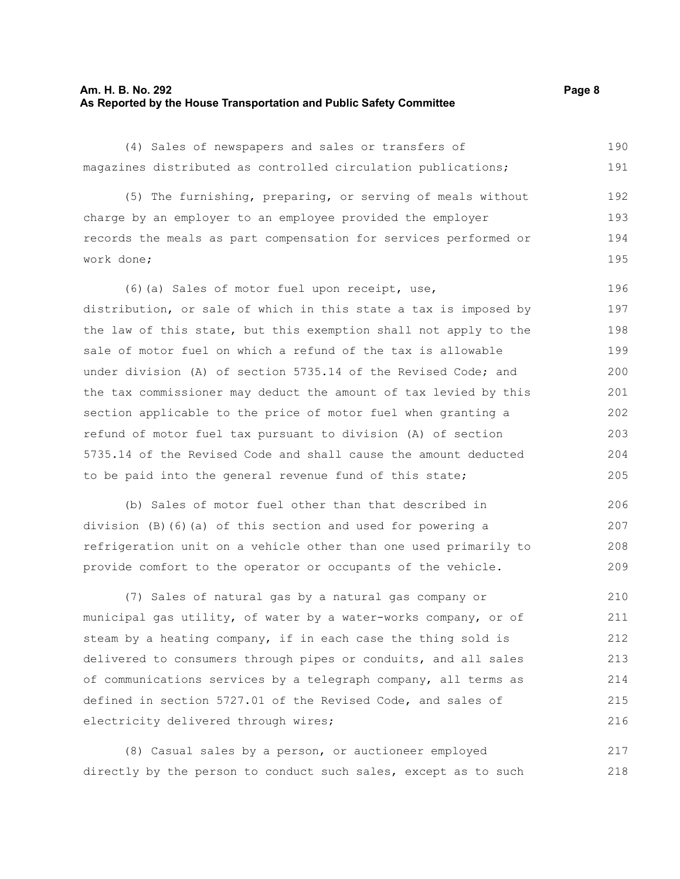#### **Am. H. B. No. 292 Page 8 As Reported by the House Transportation and Public Safety Committee**

(4) Sales of newspapers and sales or transfers of magazines distributed as controlled circulation publications; (5) The furnishing, preparing, or serving of meals without charge by an employer to an employee provided the employer records the meals as part compensation for services performed or work done; (6)(a) Sales of motor fuel upon receipt, use, distribution, or sale of which in this state a tax is imposed by the law of this state, but this exemption shall not apply to the sale of motor fuel on which a refund of the tax is allowable under division (A) of section 5735.14 of the Revised Code; and the tax commissioner may deduct the amount of tax levied by this section applicable to the price of motor fuel when granting a refund of motor fuel tax pursuant to division (A) of section 5735.14 of the Revised Code and shall cause the amount deducted to be paid into the general revenue fund of this state; (b) Sales of motor fuel other than that described in division (B)(6)(a) of this section and used for powering a refrigeration unit on a vehicle other than one used primarily to provide comfort to the operator or occupants of the vehicle. (7) Sales of natural gas by a natural gas company or municipal gas utility, of water by a water-works company, or of steam by a heating company, if in each case the thing sold is delivered to consumers through pipes or conduits, and all sales of communications services by a telegraph company, all terms as defined in section 5727.01 of the Revised Code, and sales of electricity delivered through wires; 190 191 192 193 194 195 196 197 198 199 200 201 202 203 204 205 206 207 208 209 210 211 212 213 214 215 216

(8) Casual sales by a person, or auctioneer employed directly by the person to conduct such sales, except as to such 217 218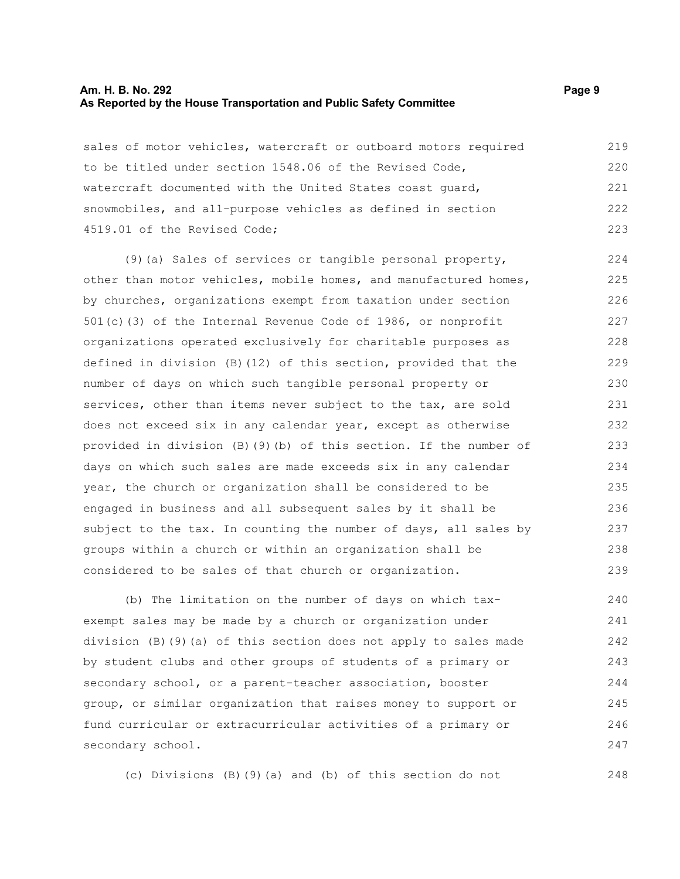#### **Am. H. B. No. 292 Page 9 As Reported by the House Transportation and Public Safety Committee**

sales of motor vehicles, watercraft or outboard motors required to be titled under section 1548.06 of the Revised Code, watercraft documented with the United States coast guard, snowmobiles, and all-purpose vehicles as defined in section 4519.01 of the Revised Code; 219 220 221 222 223

(9)(a) Sales of services or tangible personal property, other than motor vehicles, mobile homes, and manufactured homes, by churches, organizations exempt from taxation under section 501(c)(3) of the Internal Revenue Code of 1986, or nonprofit organizations operated exclusively for charitable purposes as defined in division (B)(12) of this section, provided that the number of days on which such tangible personal property or services, other than items never subject to the tax, are sold does not exceed six in any calendar year, except as otherwise provided in division (B)(9)(b) of this section. If the number of days on which such sales are made exceeds six in any calendar year, the church or organization shall be considered to be engaged in business and all subsequent sales by it shall be subject to the tax. In counting the number of days, all sales by groups within a church or within an organization shall be considered to be sales of that church or organization. 224 225 226 227 228 229 230 231 232 233 234 235 236 237 238 239

(b) The limitation on the number of days on which taxexempt sales may be made by a church or organization under division (B)(9)(a) of this section does not apply to sales made by student clubs and other groups of students of a primary or secondary school, or a parent-teacher association, booster group, or similar organization that raises money to support or fund curricular or extracurricular activities of a primary or secondary school. 240 241 242 243 244 245 246 247

(c) Divisions (B)(9)(a) and (b) of this section do not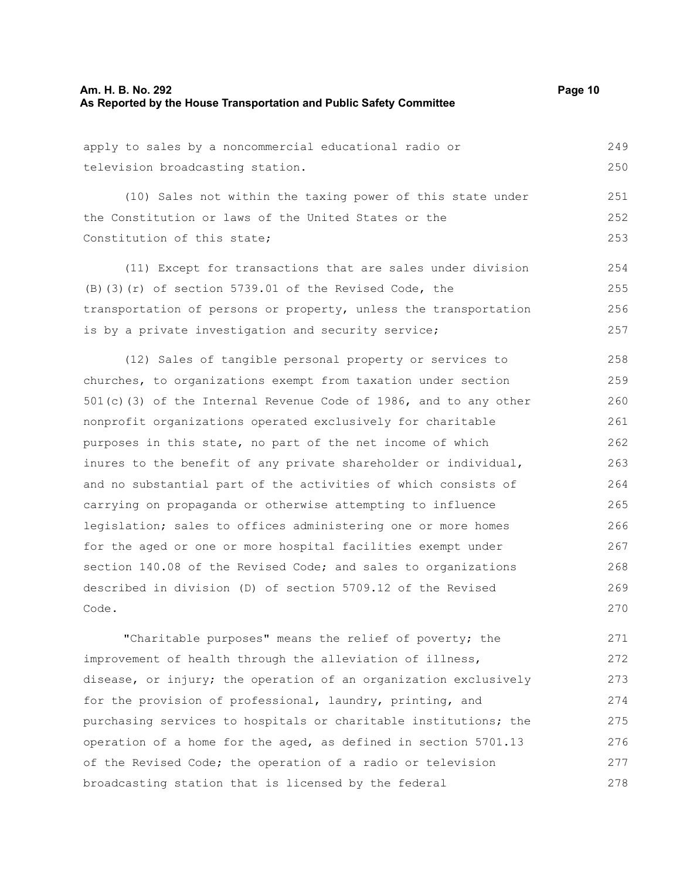apply to sales by a noncommercial educational radio or television broadcasting station. 249 250

(10) Sales not within the taxing power of this state under the Constitution or laws of the United States or the Constitution of this state; 251

(11) Except for transactions that are sales under division (B)(3)(r) of section 5739.01 of the Revised Code, the transportation of persons or property, unless the transportation is by a private investigation and security service; 254 255 256 257

(12) Sales of tangible personal property or services to churches, to organizations exempt from taxation under section 501(c)(3) of the Internal Revenue Code of 1986, and to any other nonprofit organizations operated exclusively for charitable purposes in this state, no part of the net income of which inures to the benefit of any private shareholder or individual, and no substantial part of the activities of which consists of carrying on propaganda or otherwise attempting to influence legislation; sales to offices administering one or more homes for the aged or one or more hospital facilities exempt under section 140.08 of the Revised Code; and sales to organizations described in division (D) of section 5709.12 of the Revised Code. 258 259 260 261 262 263 264 265 266 267 268 269 270

"Charitable purposes" means the relief of poverty; the improvement of health through the alleviation of illness, disease, or injury; the operation of an organization exclusively for the provision of professional, laundry, printing, and purchasing services to hospitals or charitable institutions; the operation of a home for the aged, as defined in section 5701.13 of the Revised Code; the operation of a radio or television broadcasting station that is licensed by the federal 271 272 273 274 275 276 277 278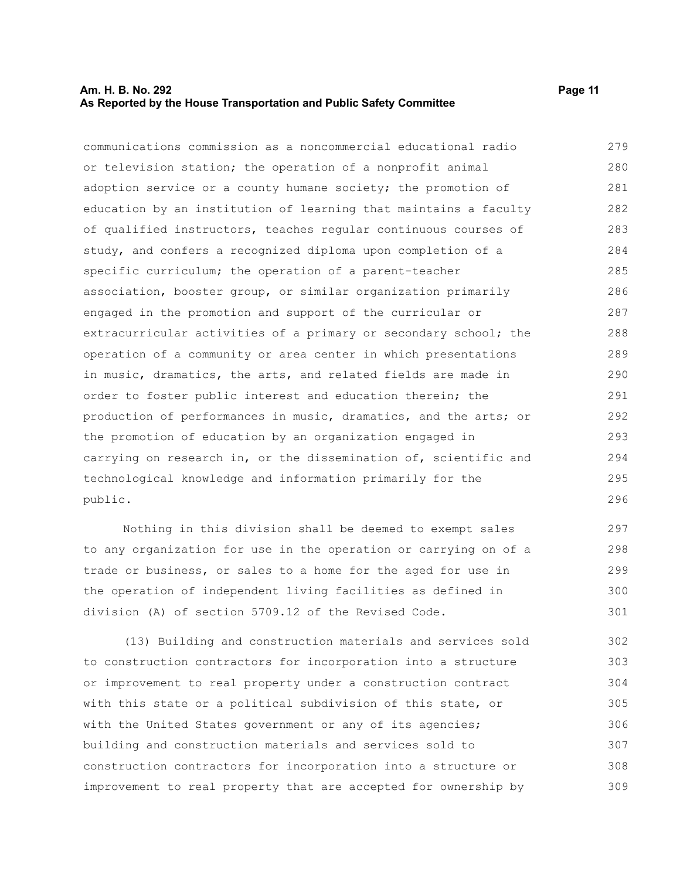### **Am. H. B. No. 292 Page 11 As Reported by the House Transportation and Public Safety Committee**

communications commission as a noncommercial educational radio or television station; the operation of a nonprofit animal adoption service or a county humane society; the promotion of education by an institution of learning that maintains a faculty of qualified instructors, teaches regular continuous courses of study, and confers a recognized diploma upon completion of a specific curriculum; the operation of a parent-teacher association, booster group, or similar organization primarily engaged in the promotion and support of the curricular or extracurricular activities of a primary or secondary school; the operation of a community or area center in which presentations in music, dramatics, the arts, and related fields are made in order to foster public interest and education therein; the production of performances in music, dramatics, and the arts; or the promotion of education by an organization engaged in carrying on research in, or the dissemination of, scientific and technological knowledge and information primarily for the public. 279 280 281 282 283 284 285 286 287 288 289 290 291 292 293 294 295 296

Nothing in this division shall be deemed to exempt sales to any organization for use in the operation or carrying on of a trade or business, or sales to a home for the aged for use in the operation of independent living facilities as defined in division (A) of section 5709.12 of the Revised Code. 297 298 299 300 301

(13) Building and construction materials and services sold to construction contractors for incorporation into a structure or improvement to real property under a construction contract with this state or a political subdivision of this state, or with the United States government or any of its agencies; building and construction materials and services sold to construction contractors for incorporation into a structure or improvement to real property that are accepted for ownership by 302 303 304 305 306 307 308 309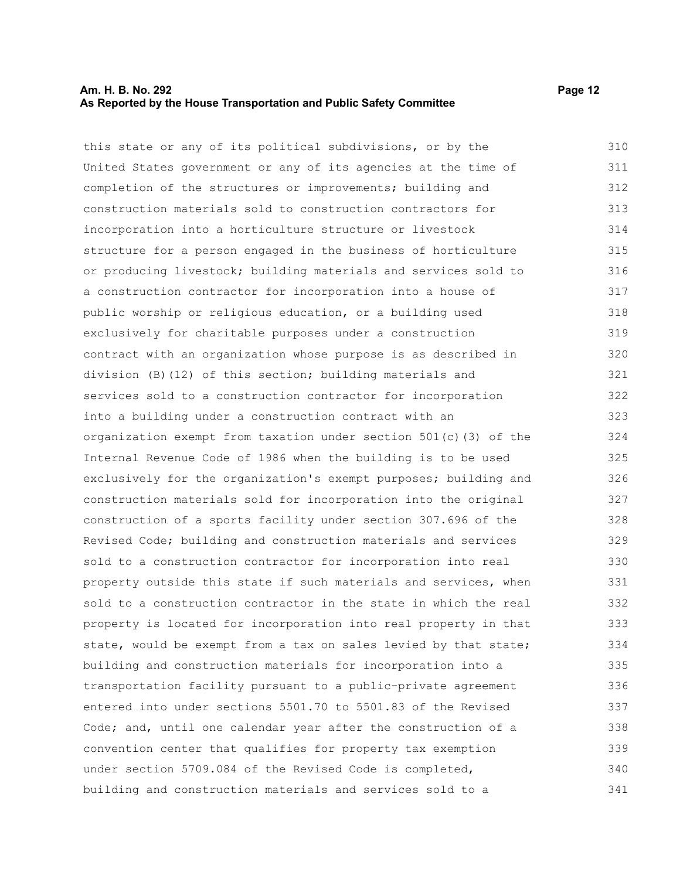#### **Am. H. B. No. 292 Page 12 As Reported by the House Transportation and Public Safety Committee**

this state or any of its political subdivisions, or by the United States government or any of its agencies at the time of completion of the structures or improvements; building and construction materials sold to construction contractors for incorporation into a horticulture structure or livestock structure for a person engaged in the business of horticulture or producing livestock; building materials and services sold to a construction contractor for incorporation into a house of public worship or religious education, or a building used exclusively for charitable purposes under a construction contract with an organization whose purpose is as described in division (B)(12) of this section; building materials and services sold to a construction contractor for incorporation into a building under a construction contract with an organization exempt from taxation under section 501(c)(3) of the Internal Revenue Code of 1986 when the building is to be used exclusively for the organization's exempt purposes; building and construction materials sold for incorporation into the original construction of a sports facility under section 307.696 of the Revised Code; building and construction materials and services sold to a construction contractor for incorporation into real property outside this state if such materials and services, when sold to a construction contractor in the state in which the real property is located for incorporation into real property in that state, would be exempt from a tax on sales levied by that state; building and construction materials for incorporation into a transportation facility pursuant to a public-private agreement entered into under sections 5501.70 to 5501.83 of the Revised Code; and, until one calendar year after the construction of a convention center that qualifies for property tax exemption 310 311 312 313 314 315 316 317 318 319 320 321 322 323 324 325 326 327 328 329 330 331 332 333 334 335 336 337 338 339

under section 5709.084 of the Revised Code is completed,

building and construction materials and services sold to a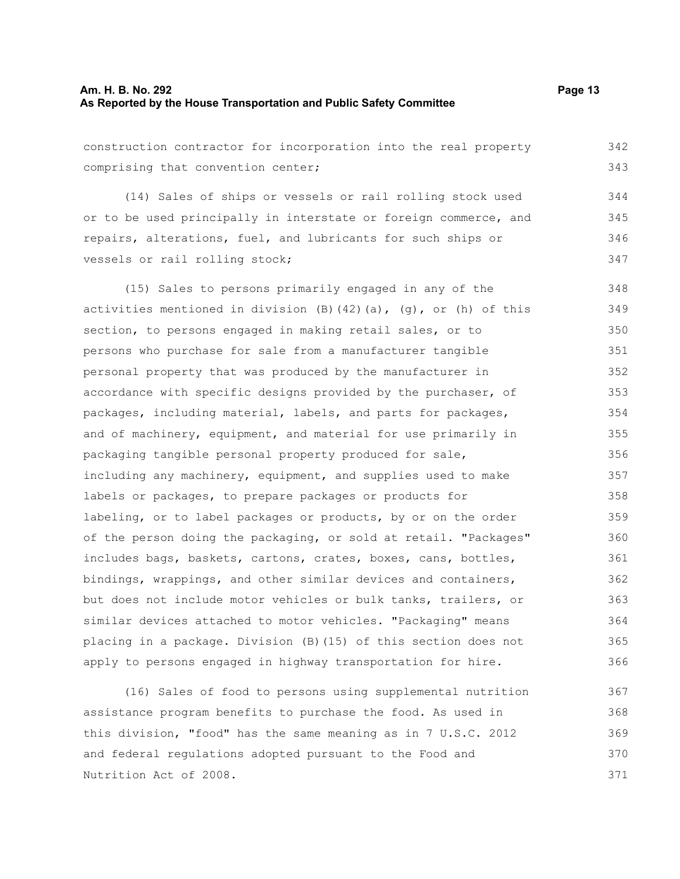construction contractor for incorporation into the real property comprising that convention center;

(14) Sales of ships or vessels or rail rolling stock used or to be used principally in interstate or foreign commerce, and repairs, alterations, fuel, and lubricants for such ships or vessels or rail rolling stock; 344 345 346 347

(15) Sales to persons primarily engaged in any of the activities mentioned in division  $(B)$  (42)(a), (g), or (h) of this section, to persons engaged in making retail sales, or to persons who purchase for sale from a manufacturer tangible personal property that was produced by the manufacturer in accordance with specific designs provided by the purchaser, of packages, including material, labels, and parts for packages, and of machinery, equipment, and material for use primarily in packaging tangible personal property produced for sale, including any machinery, equipment, and supplies used to make labels or packages, to prepare packages or products for labeling, or to label packages or products, by or on the order of the person doing the packaging, or sold at retail. "Packages" includes bags, baskets, cartons, crates, boxes, cans, bottles, bindings, wrappings, and other similar devices and containers, but does not include motor vehicles or bulk tanks, trailers, or similar devices attached to motor vehicles. "Packaging" means placing in a package. Division (B)(15) of this section does not apply to persons engaged in highway transportation for hire. 348 349 350 351 352 353 354 355 356 357 358 359 360 361 362 363 364 365 366

(16) Sales of food to persons using supplemental nutrition assistance program benefits to purchase the food. As used in this division, "food" has the same meaning as in 7 U.S.C. 2012 and federal regulations adopted pursuant to the Food and Nutrition Act of 2008. 367 368 369 370 371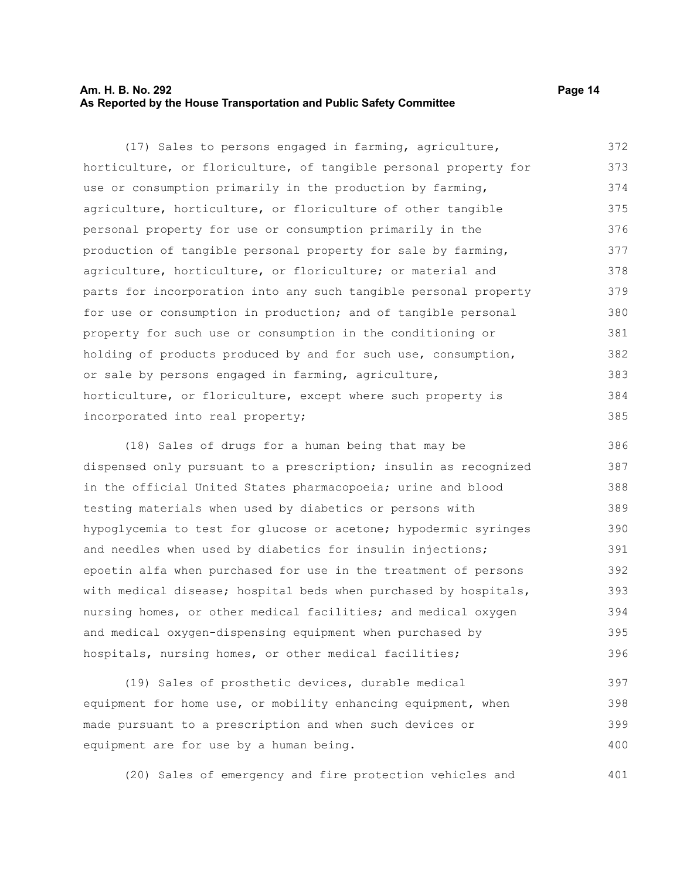# **Am. H. B. No. 292 Page 14 As Reported by the House Transportation and Public Safety Committee**

(17) Sales to persons engaged in farming, agriculture, horticulture, or floriculture, of tangible personal property for use or consumption primarily in the production by farming, agriculture, horticulture, or floriculture of other tangible personal property for use or consumption primarily in the production of tangible personal property for sale by farming, agriculture, horticulture, or floriculture; or material and parts for incorporation into any such tangible personal property for use or consumption in production; and of tangible personal property for such use or consumption in the conditioning or holding of products produced by and for such use, consumption, or sale by persons engaged in farming, agriculture, horticulture, or floriculture, except where such property is incorporated into real property; 372 373 374 375 376 377 378 379 380 381 382 383 384 385

(18) Sales of drugs for a human being that may be dispensed only pursuant to a prescription; insulin as recognized in the official United States pharmacopoeia; urine and blood testing materials when used by diabetics or persons with hypoglycemia to test for glucose or acetone; hypodermic syringes and needles when used by diabetics for insulin injections; epoetin alfa when purchased for use in the treatment of persons with medical disease; hospital beds when purchased by hospitals, nursing homes, or other medical facilities; and medical oxygen and medical oxygen-dispensing equipment when purchased by hospitals, nursing homes, or other medical facilities; 386 387 388 389 390 391 392 393 394 395 396

(19) Sales of prosthetic devices, durable medical equipment for home use, or mobility enhancing equipment, when made pursuant to a prescription and when such devices or equipment are for use by a human being. 397 398 399 400

(20) Sales of emergency and fire protection vehicles and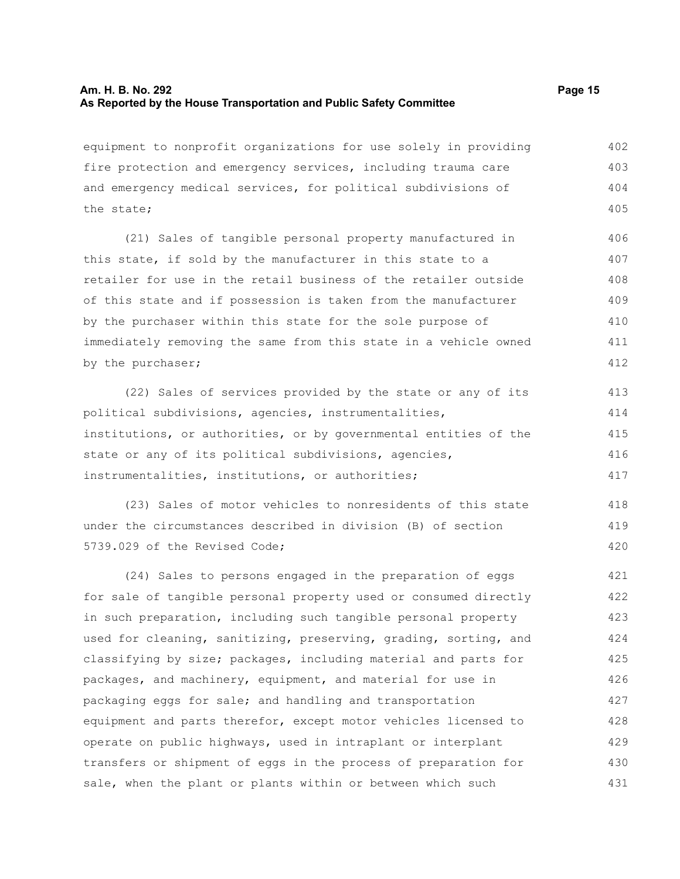#### **Am. H. B. No. 292 Page 15 As Reported by the House Transportation and Public Safety Committee**

equipment to nonprofit organizations for use solely in providing fire protection and emergency services, including trauma care and emergency medical services, for political subdivisions of the state; 402 403 404 405

(21) Sales of tangible personal property manufactured in this state, if sold by the manufacturer in this state to a retailer for use in the retail business of the retailer outside of this state and if possession is taken from the manufacturer by the purchaser within this state for the sole purpose of immediately removing the same from this state in a vehicle owned by the purchaser; 406 407 408 409 410 411 412

(22) Sales of services provided by the state or any of its political subdivisions, agencies, instrumentalities, institutions, or authorities, or by governmental entities of the state or any of its political subdivisions, agencies, instrumentalities, institutions, or authorities; 413 414 415 416 417

(23) Sales of motor vehicles to nonresidents of this state under the circumstances described in division (B) of section 5739.029 of the Revised Code;

(24) Sales to persons engaged in the preparation of eggs for sale of tangible personal property used or consumed directly in such preparation, including such tangible personal property used for cleaning, sanitizing, preserving, grading, sorting, and classifying by size; packages, including material and parts for packages, and machinery, equipment, and material for use in packaging eggs for sale; and handling and transportation equipment and parts therefor, except motor vehicles licensed to operate on public highways, used in intraplant or interplant transfers or shipment of eggs in the process of preparation for sale, when the plant or plants within or between which such 421 422 423 424 425 426 427 428 429 430 431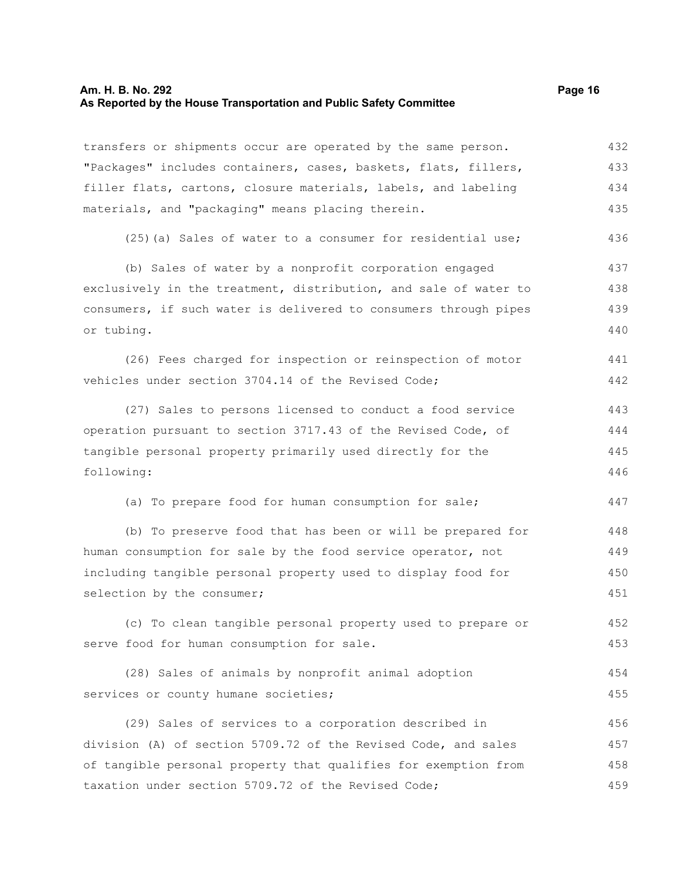#### **Am. H. B. No. 292 Page 16 As Reported by the House Transportation and Public Safety Committee**

transfers or shipments occur are operated by the same person. "Packages" includes containers, cases, baskets, flats, fillers, filler flats, cartons, closure materials, labels, and labeling materials, and "packaging" means placing therein. 432 433 434 435

(25)(a) Sales of water to a consumer for residential use; 436

(b) Sales of water by a nonprofit corporation engaged exclusively in the treatment, distribution, and sale of water to consumers, if such water is delivered to consumers through pipes or tubing. 437 438 439 440

(26) Fees charged for inspection or reinspection of motor vehicles under section 3704.14 of the Revised Code; 441 442

(27) Sales to persons licensed to conduct a food service operation pursuant to section 3717.43 of the Revised Code, of tangible personal property primarily used directly for the following: 443 444 445 446

(a) To prepare food for human consumption for sale;

(b) To preserve food that has been or will be prepared for human consumption for sale by the food service operator, not including tangible personal property used to display food for selection by the consumer; 448 449 450 451

(c) To clean tangible personal property used to prepare or serve food for human consumption for sale. 452 453

(28) Sales of animals by nonprofit animal adoption services or county humane societies; 454 455

(29) Sales of services to a corporation described in division (A) of section 5709.72 of the Revised Code, and sales of tangible personal property that qualifies for exemption from taxation under section 5709.72 of the Revised Code; 456 457 458 459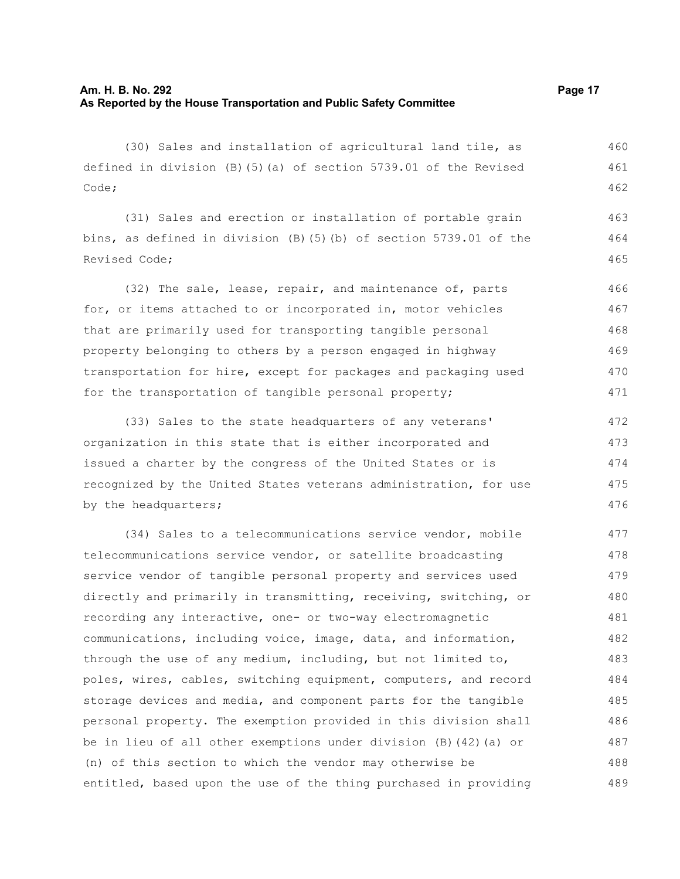(30) Sales and installation of agricultural land tile, as defined in division (B)(5)(a) of section 5739.01 of the Revised Code; 460 461 462

(31) Sales and erection or installation of portable grain bins, as defined in division (B)(5)(b) of section 5739.01 of the Revised Code; 463 464 465

(32) The sale, lease, repair, and maintenance of, parts for, or items attached to or incorporated in, motor vehicles that are primarily used for transporting tangible personal property belonging to others by a person engaged in highway transportation for hire, except for packages and packaging used for the transportation of tangible personal property; 466 467 468 469 470 471

(33) Sales to the state headquarters of any veterans' organization in this state that is either incorporated and issued a charter by the congress of the United States or is recognized by the United States veterans administration, for use by the headquarters; 472 473 474 475 476

(34) Sales to a telecommunications service vendor, mobile telecommunications service vendor, or satellite broadcasting service vendor of tangible personal property and services used directly and primarily in transmitting, receiving, switching, or recording any interactive, one- or two-way electromagnetic communications, including voice, image, data, and information, through the use of any medium, including, but not limited to, poles, wires, cables, switching equipment, computers, and record storage devices and media, and component parts for the tangible personal property. The exemption provided in this division shall be in lieu of all other exemptions under division (B)(42)(a) or (n) of this section to which the vendor may otherwise be entitled, based upon the use of the thing purchased in providing 477 478 479 480 481 482 483 484 485 486 487 488 489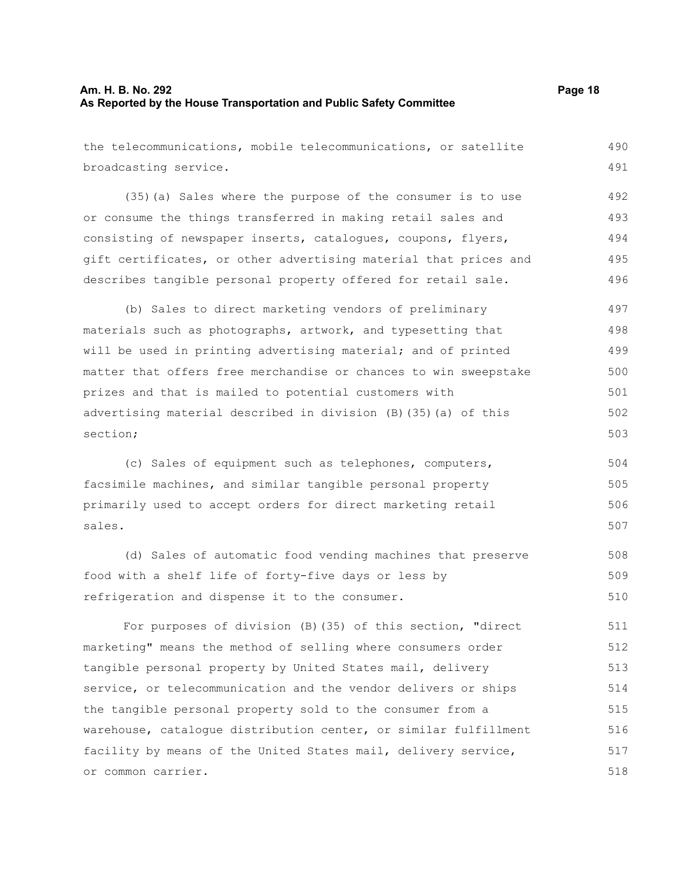# **Am. H. B. No. 292 Page 18 As Reported by the House Transportation and Public Safety Committee**

the telecommunications, mobile telecommunications, or satellite

broadcasting service. (35)(a) Sales where the purpose of the consumer is to use or consume the things transferred in making retail sales and consisting of newspaper inserts, catalogues, coupons, flyers, gift certificates, or other advertising material that prices and describes tangible personal property offered for retail sale. (b) Sales to direct marketing vendors of preliminary materials such as photographs, artwork, and typesetting that will be used in printing advertising material; and of printed matter that offers free merchandise or chances to win sweepstake prizes and that is mailed to potential customers with advertising material described in division (B)(35)(a) of this section; 492 493 494 495 496 497 498 499 500 501 502

(c) Sales of equipment such as telephones, computers, facsimile machines, and similar tangible personal property primarily used to accept orders for direct marketing retail sales. 504 505 506 507

(d) Sales of automatic food vending machines that preserve food with a shelf life of forty-five days or less by refrigeration and dispense it to the consumer.

For purposes of division (B)(35) of this section, "direct marketing" means the method of selling where consumers order tangible personal property by United States mail, delivery service, or telecommunication and the vendor delivers or ships the tangible personal property sold to the consumer from a warehouse, catalogue distribution center, or similar fulfillment facility by means of the United States mail, delivery service, or common carrier. 511 512 513 514 515 516 517 518

490 491

503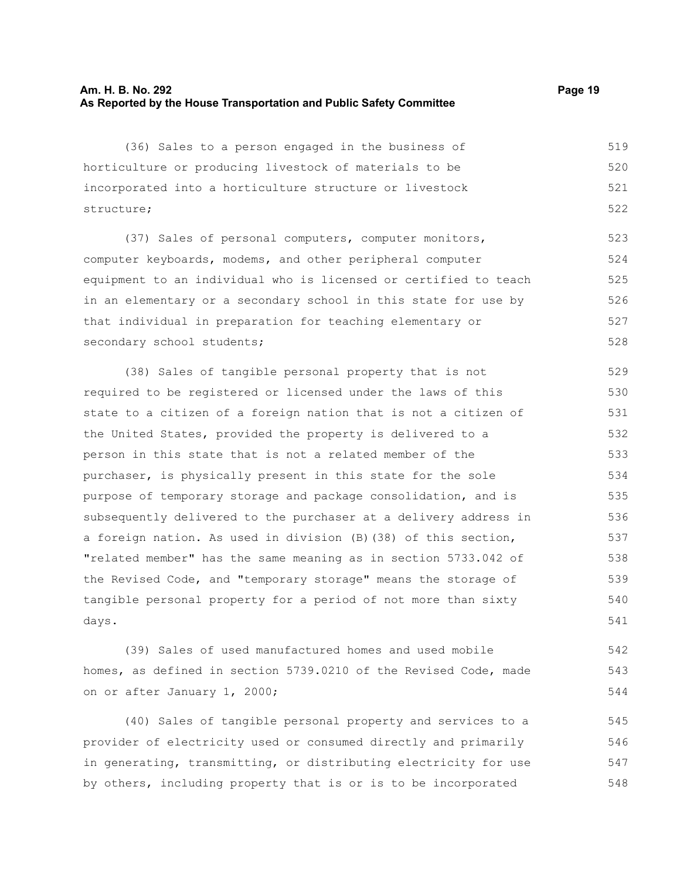# **Am. H. B. No. 292 Page 19 As Reported by the House Transportation and Public Safety Committee**

(36) Sales to a person engaged in the business of horticulture or producing livestock of materials to be incorporated into a horticulture structure or livestock structure; 519 520 521 522

(37) Sales of personal computers, computer monitors, computer keyboards, modems, and other peripheral computer equipment to an individual who is licensed or certified to teach in an elementary or a secondary school in this state for use by that individual in preparation for teaching elementary or secondary school students; 523 524 525 526 527 528

(38) Sales of tangible personal property that is not required to be registered or licensed under the laws of this state to a citizen of a foreign nation that is not a citizen of the United States, provided the property is delivered to a person in this state that is not a related member of the purchaser, is physically present in this state for the sole purpose of temporary storage and package consolidation, and is subsequently delivered to the purchaser at a delivery address in a foreign nation. As used in division (B)(38) of this section, "related member" has the same meaning as in section 5733.042 of the Revised Code, and "temporary storage" means the storage of tangible personal property for a period of not more than sixty days. 529 530 531 532 533 534 535 536 537 538 539 540 541

(39) Sales of used manufactured homes and used mobile homes, as defined in section 5739.0210 of the Revised Code, made on or after January 1, 2000;

(40) Sales of tangible personal property and services to a provider of electricity used or consumed directly and primarily in generating, transmitting, or distributing electricity for use by others, including property that is or is to be incorporated 545 546 547 548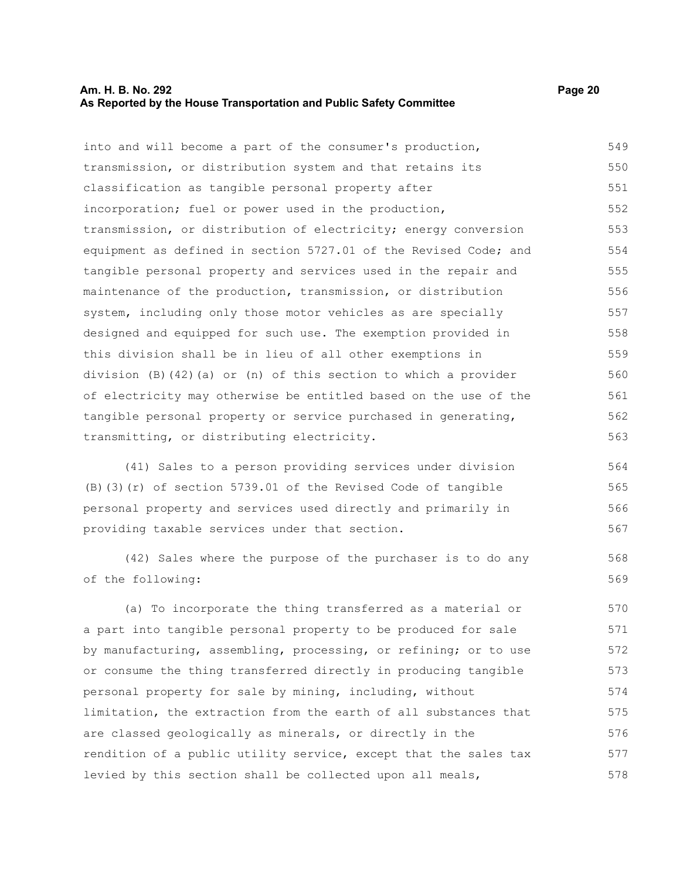# **Am. H. B. No. 292 Page 20 As Reported by the House Transportation and Public Safety Committee**

568 569

into and will become a part of the consumer's production, transmission, or distribution system and that retains its classification as tangible personal property after incorporation; fuel or power used in the production, transmission, or distribution of electricity; energy conversion equipment as defined in section 5727.01 of the Revised Code; and tangible personal property and services used in the repair and maintenance of the production, transmission, or distribution system, including only those motor vehicles as are specially designed and equipped for such use. The exemption provided in this division shall be in lieu of all other exemptions in division (B)(42)(a) or (n) of this section to which a provider of electricity may otherwise be entitled based on the use of the tangible personal property or service purchased in generating, transmitting, or distributing electricity. 549 550 551 552 553 554 555 556 557 558 559 560 561 562 563

(41) Sales to a person providing services under division (B)(3)(r) of section 5739.01 of the Revised Code of tangible personal property and services used directly and primarily in providing taxable services under that section. 564 565 566 567

(42) Sales where the purpose of the purchaser is to do any of the following:

(a) To incorporate the thing transferred as a material or a part into tangible personal property to be produced for sale by manufacturing, assembling, processing, or refining; or to use or consume the thing transferred directly in producing tangible personal property for sale by mining, including, without limitation, the extraction from the earth of all substances that are classed geologically as minerals, or directly in the rendition of a public utility service, except that the sales tax levied by this section shall be collected upon all meals, 570 571 572 573 574 575 576 577 578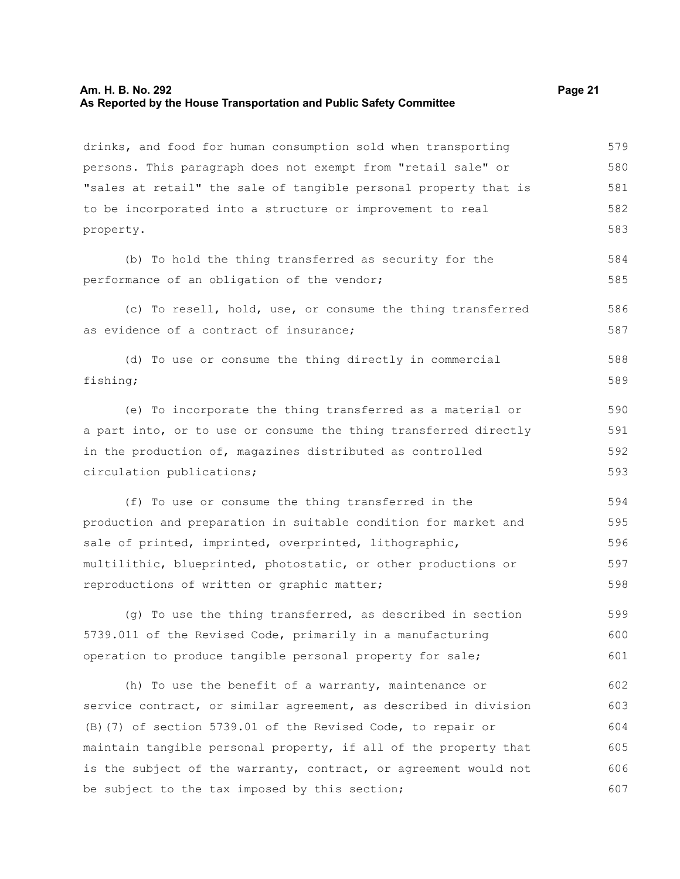#### **Am. H. B. No. 292 Page 21 As Reported by the House Transportation and Public Safety Committee**

drinks, and food for human consumption sold when transporting persons. This paragraph does not exempt from "retail sale" or "sales at retail" the sale of tangible personal property that is to be incorporated into a structure or improvement to real property. 579 580 581 582 583

(b) To hold the thing transferred as security for the performance of an obligation of the vendor; 584 585

(c) To resell, hold, use, or consume the thing transferred as evidence of a contract of insurance; 586 587

(d) To use or consume the thing directly in commercial fishing; 588 589

(e) To incorporate the thing transferred as a material or a part into, or to use or consume the thing transferred directly in the production of, magazines distributed as controlled circulation publications; 590 591 592 593

(f) To use or consume the thing transferred in the production and preparation in suitable condition for market and sale of printed, imprinted, overprinted, lithographic, multilithic, blueprinted, photostatic, or other productions or reproductions of written or graphic matter; 594 595 596 597 598

(g) To use the thing transferred, as described in section 5739.011 of the Revised Code, primarily in a manufacturing operation to produce tangible personal property for sale; 599 600 601

(h) To use the benefit of a warranty, maintenance or service contract, or similar agreement, as described in division (B)(7) of section 5739.01 of the Revised Code, to repair or maintain tangible personal property, if all of the property that is the subject of the warranty, contract, or agreement would not be subject to the tax imposed by this section; 602 603 604 605 606 607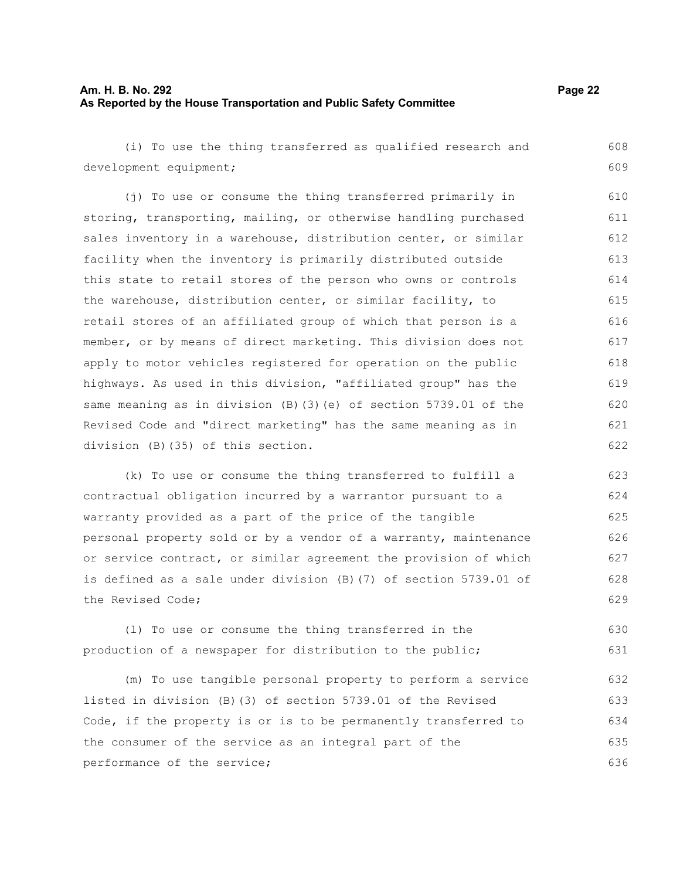# **Am. H. B. No. 292 Page 22 As Reported by the House Transportation and Public Safety Committee**

(i) To use the thing transferred as qualified research and development equipment; (j) To use or consume the thing transferred primarily in storing, transporting, mailing, or otherwise handling purchased sales inventory in a warehouse, distribution center, or similar facility when the inventory is primarily distributed outside this state to retail stores of the person who owns or controls the warehouse, distribution center, or similar facility, to retail stores of an affiliated group of which that person is a member, or by means of direct marketing. This division does not 608 609 611 612 613 614 615 616 617

apply to motor vehicles registered for operation on the public highways. As used in this division, "affiliated group" has the same meaning as in division (B)(3)(e) of section 5739.01 of the Revised Code and "direct marketing" has the same meaning as in division (B)(35) of this section. 618 619 620 621 622

(k) To use or consume the thing transferred to fulfill a contractual obligation incurred by a warrantor pursuant to a warranty provided as a part of the price of the tangible personal property sold or by a vendor of a warranty, maintenance or service contract, or similar agreement the provision of which is defined as a sale under division (B)(7) of section 5739.01 of the Revised Code; 623 624 625 626 627 628 629

(l) To use or consume the thing transferred in the production of a newspaper for distribution to the public; 630 631

(m) To use tangible personal property to perform a service listed in division (B)(3) of section 5739.01 of the Revised Code, if the property is or is to be permanently transferred to the consumer of the service as an integral part of the performance of the service; 632 633 634 635 636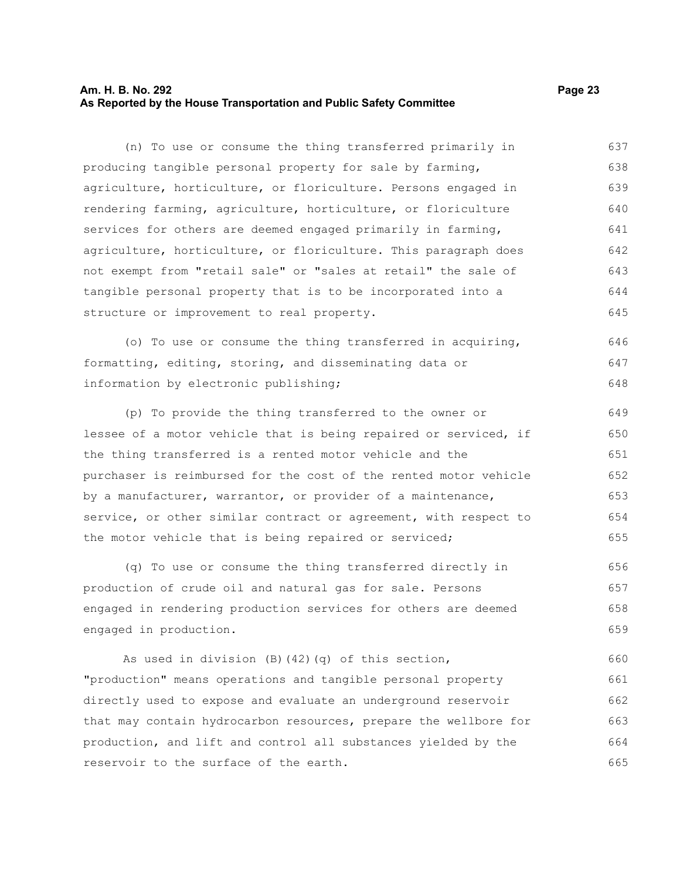# **Am. H. B. No. 292 Page 23 As Reported by the House Transportation and Public Safety Committee**

(n) To use or consume the thing transferred primarily in producing tangible personal property for sale by farming, agriculture, horticulture, or floriculture. Persons engaged in rendering farming, agriculture, horticulture, or floriculture services for others are deemed engaged primarily in farming, agriculture, horticulture, or floriculture. This paragraph does not exempt from "retail sale" or "sales at retail" the sale of tangible personal property that is to be incorporated into a structure or improvement to real property. 637 638 639 640 641 642 643 644 645

(o) To use or consume the thing transferred in acquiring, formatting, editing, storing, and disseminating data or information by electronic publishing; 646 647 648

(p) To provide the thing transferred to the owner or lessee of a motor vehicle that is being repaired or serviced, if the thing transferred is a rented motor vehicle and the purchaser is reimbursed for the cost of the rented motor vehicle by a manufacturer, warrantor, or provider of a maintenance, service, or other similar contract or agreement, with respect to the motor vehicle that is being repaired or serviced; 649 650 651 652 653 654 655

(q) To use or consume the thing transferred directly in production of crude oil and natural gas for sale. Persons engaged in rendering production services for others are deemed engaged in production. 656 657 658 659

As used in division (B)(42)(q) of this section, "production" means operations and tangible personal property directly used to expose and evaluate an underground reservoir that may contain hydrocarbon resources, prepare the wellbore for production, and lift and control all substances yielded by the reservoir to the surface of the earth. 660 661 662 663 664 665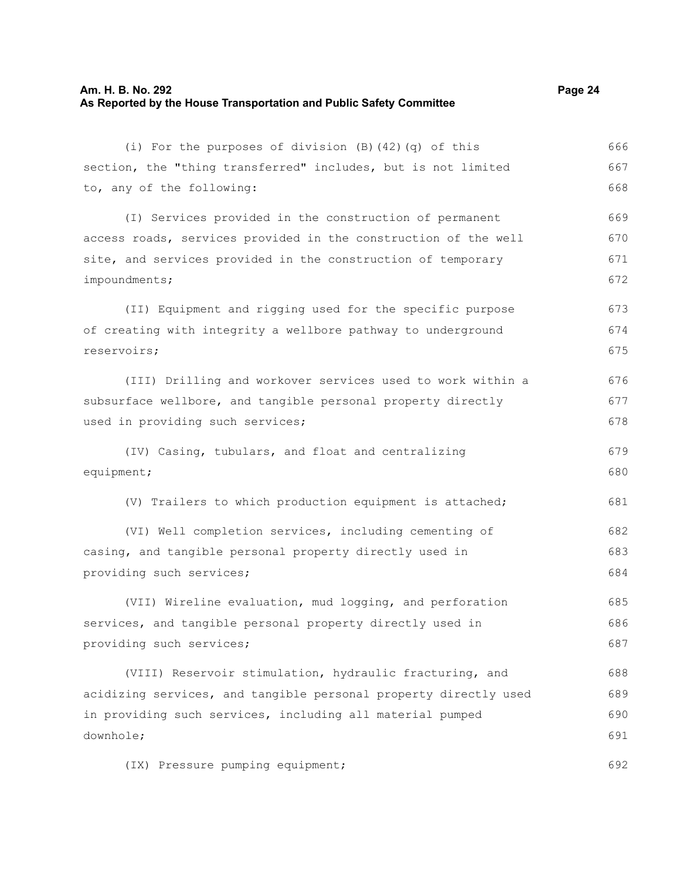# **Am. H. B. No. 292 Page 24 As Reported by the House Transportation and Public Safety Committee**

(i) For the purposes of division (B)(42)(q) of this section, the "thing transferred" includes, but is not limited to, any of the following: (I) Services provided in the construction of permanent access roads, services provided in the construction of the well site, and services provided in the construction of temporary impoundments; (II) Equipment and rigging used for the specific purpose of creating with integrity a wellbore pathway to underground reservoirs; (III) Drilling and workover services used to work within a subsurface wellbore, and tangible personal property directly used in providing such services; (IV) Casing, tubulars, and float and centralizing equipment; (V) Trailers to which production equipment is attached; (VI) Well completion services, including cementing of casing, and tangible personal property directly used in providing such services; (VII) Wireline evaluation, mud logging, and perforation services, and tangible personal property directly used in providing such services; (VIII) Reservoir stimulation, hydraulic fracturing, and 666 667 668 669 670 671 672 673 674 675 676 677 678 679 680 681 682 683 684 685 686 687 688

acidizing services, and tangible personal property directly used in providing such services, including all material pumped downhole; 689 690 691

(IX) Pressure pumping equipment;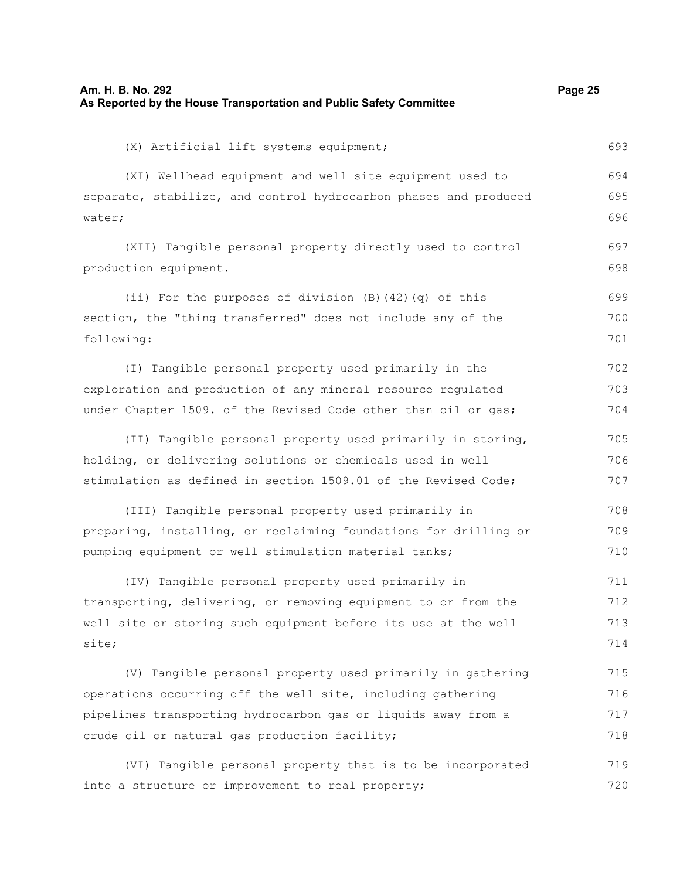| As Reported by the House Transportation and Public Safety Committee |     |
|---------------------------------------------------------------------|-----|
| (X) Artificial lift systems equipment;                              | 693 |
| (XI) Wellhead equipment and well site equipment used to             | 694 |
| separate, stabilize, and control hydrocarbon phases and produced    | 695 |
| water;                                                              | 696 |
| (XII) Tangible personal property directly used to control           | 697 |
| production equipment.                                               | 698 |
| (ii) For the purposes of division $(B)$ $(42)$ $(q)$ of this        | 699 |
| section, the "thing transferred" does not include any of the        | 700 |
| following:                                                          | 701 |
| (I) Tangible personal property used primarily in the                | 702 |
| exploration and production of any mineral resource regulated        | 703 |
| under Chapter 1509. of the Revised Code other than oil or gas;      | 704 |
| (II) Tangible personal property used primarily in storing,          | 705 |
| holding, or delivering solutions or chemicals used in well          | 706 |
| stimulation as defined in section 1509.01 of the Revised Code;      | 707 |
| (III) Tangible personal property used primarily in                  | 708 |
| preparing, installing, or reclaiming foundations for drilling or    | 709 |
| pumping equipment or well stimulation material tanks;               | 710 |
| (IV) Tangible personal property used primarily in                   | 711 |
| transporting, delivering, or removing equipment to or from the      | 712 |
| well site or storing such equipment before its use at the well      | 713 |
| site;                                                               | 714 |
| (V) Tangible personal property used primarily in gathering          | 715 |
| operations occurring off the well site, including gathering         | 716 |
| pipelines transporting hydrocarbon gas or liquids away from a       | 717 |
| crude oil or natural gas production facility;                       | 718 |
| paible personal property that is to be incorporated                 | 710 |

**Am. H. B. No. 292 Page 25**

(VI) Tangible personal property that is to be incorporated into a structure or improvement to real property; 719 720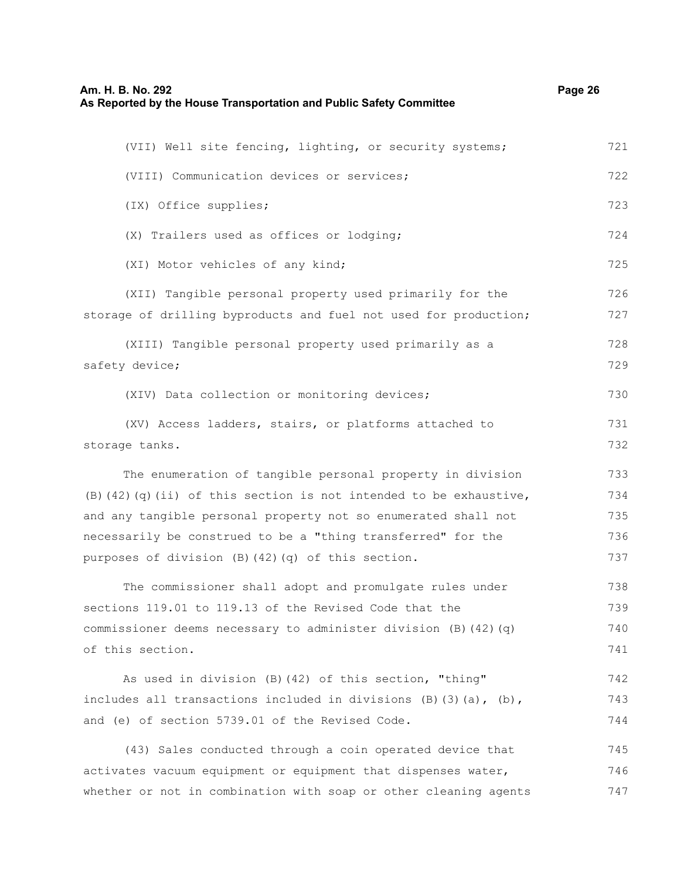# **Am. H. B. No. 292 Page 26 As Reported by the House Transportation and Public Safety Committee**

| (VII) Well site fencing, lighting, or security systems;                     | 721 |
|-----------------------------------------------------------------------------|-----|
| (VIII) Communication devices or services;                                   | 722 |
| (IX) Office supplies;                                                       | 723 |
| (X) Trailers used as offices or lodging;                                    | 724 |
| (XI) Motor vehicles of any kind;                                            | 725 |
| (XII) Tangible personal property used primarily for the                     | 726 |
| storage of drilling byproducts and fuel not used for production;            | 727 |
| (XIII) Tangible personal property used primarily as a                       | 728 |
| safety device;                                                              | 729 |
| (XIV) Data collection or monitoring devices;                                | 730 |
| (XV) Access ladders, stairs, or platforms attached to                       | 731 |
| storage tanks.                                                              | 732 |
| The enumeration of tangible personal property in division                   | 733 |
| $(B)$ (42) (q) (ii) of this section is not intended to be exhaustive,       | 734 |
| and any tangible personal property not so enumerated shall not              | 735 |
| necessarily be construed to be a "thing transferred" for the                | 736 |
| purposes of division (B) (42) (q) of this section.                          | 737 |
| The commissioner shall adopt and promulgate rules under                     | 738 |
| sections 119.01 to 119.13 of the Revised Code that the                      | 739 |
| commissioner deems necessary to administer division (B) (42) (q)            | 740 |
| of this section.                                                            | 741 |
| As used in division (B) (42) of this section, "thing"                       | 742 |
| includes all transactions included in divisions $(B)$ $(3)$ $(a)$ , $(b)$ , | 743 |
| and (e) of section 5739.01 of the Revised Code.                             | 744 |
| (43) Sales conducted through a coin operated device that                    | 745 |
| activates vacuum equipment or equipment that dispenses water,               | 746 |
| whether or not in combination with soap or other cleaning agents            | 747 |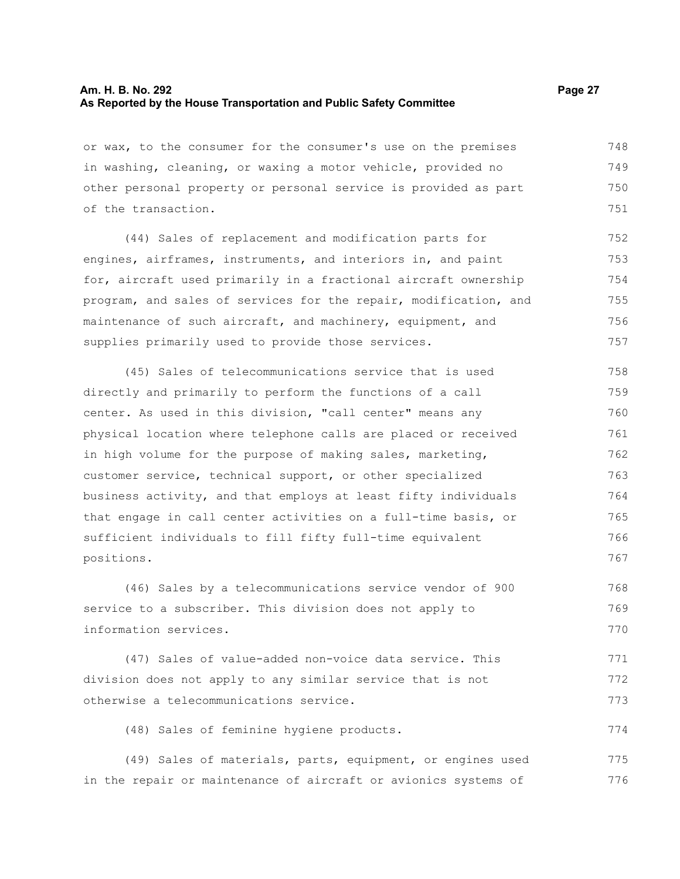### **Am. H. B. No. 292 Page 27 As Reported by the House Transportation and Public Safety Committee**

or wax, to the consumer for the consumer's use on the premises in washing, cleaning, or waxing a motor vehicle, provided no other personal property or personal service is provided as part of the transaction. 748 749 750 751

(44) Sales of replacement and modification parts for engines, airframes, instruments, and interiors in, and paint for, aircraft used primarily in a fractional aircraft ownership program, and sales of services for the repair, modification, and maintenance of such aircraft, and machinery, equipment, and supplies primarily used to provide those services. 752 753 754 755 756 757

(45) Sales of telecommunications service that is used directly and primarily to perform the functions of a call center. As used in this division, "call center" means any physical location where telephone calls are placed or received in high volume for the purpose of making sales, marketing, customer service, technical support, or other specialized business activity, and that employs at least fifty individuals that engage in call center activities on a full-time basis, or sufficient individuals to fill fifty full-time equivalent positions. 758 759 760 761 762 763 764 765 766 767

(46) Sales by a telecommunications service vendor of 900 service to a subscriber. This division does not apply to information services. 768 769 770

(47) Sales of value-added non-voice data service. This division does not apply to any similar service that is not otherwise a telecommunications service. 771 772 773

(48) Sales of feminine hygiene products.

(49) Sales of materials, parts, equipment, or engines used in the repair or maintenance of aircraft or avionics systems of 775 776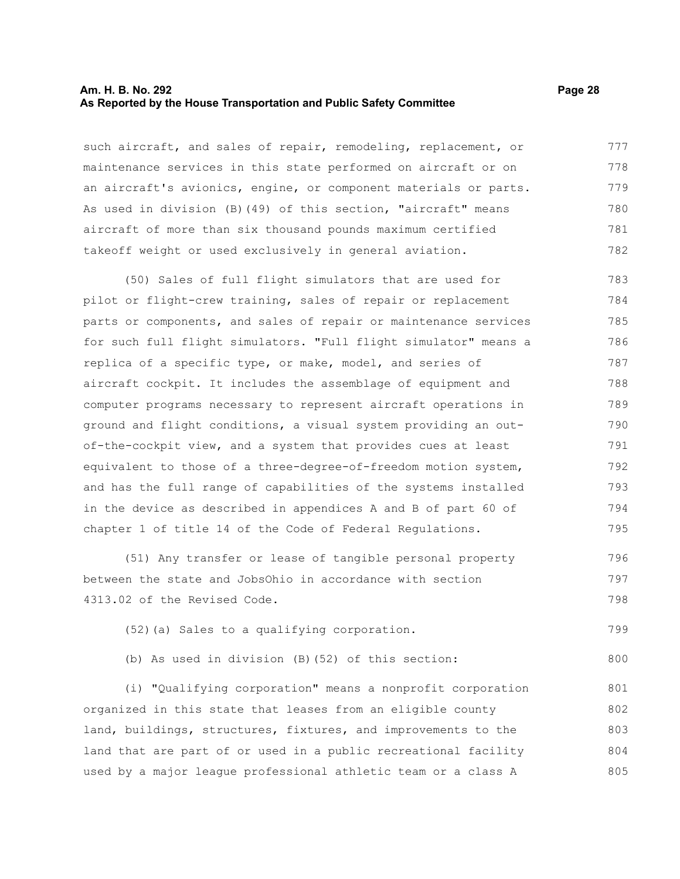#### **Am. H. B. No. 292 Page 28 As Reported by the House Transportation and Public Safety Committee**

such aircraft, and sales of repair, remodeling, replacement, or maintenance services in this state performed on aircraft or on an aircraft's avionics, engine, or component materials or parts. As used in division (B)(49) of this section, "aircraft" means aircraft of more than six thousand pounds maximum certified takeoff weight or used exclusively in general aviation. 777 778 779 780 781 782

(50) Sales of full flight simulators that are used for pilot or flight-crew training, sales of repair or replacement parts or components, and sales of repair or maintenance services for such full flight simulators. "Full flight simulator" means a replica of a specific type, or make, model, and series of aircraft cockpit. It includes the assemblage of equipment and computer programs necessary to represent aircraft operations in ground and flight conditions, a visual system providing an outof-the-cockpit view, and a system that provides cues at least equivalent to those of a three-degree-of-freedom motion system, and has the full range of capabilities of the systems installed in the device as described in appendices A and B of part 60 of chapter 1 of title 14 of the Code of Federal Regulations. 783 784 785 786 787 788 789 790 791 792 793 794 795

(51) Any transfer or lease of tangible personal property between the state and JobsOhio in accordance with section 4313.02 of the Revised Code. 796 797 798

(52)(a) Sales to a qualifying corporation. 799

(b) As used in division (B)(52) of this section:

(i) "Qualifying corporation" means a nonprofit corporation organized in this state that leases from an eligible county land, buildings, structures, fixtures, and improvements to the land that are part of or used in a public recreational facility used by a major league professional athletic team or a class A 801 802 803 804 805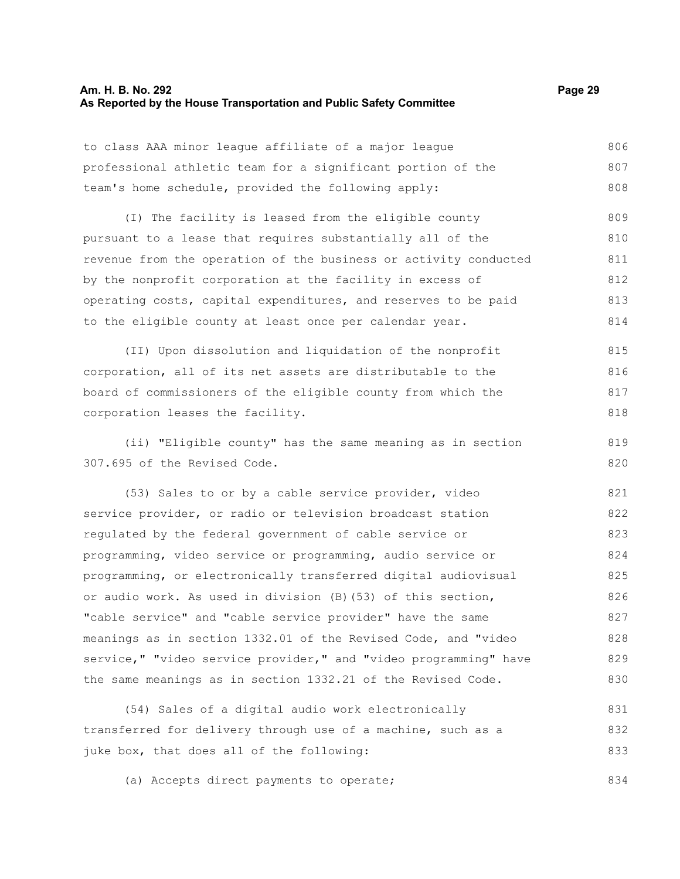# **Am. H. B. No. 292 Page 29 As Reported by the House Transportation and Public Safety Committee**

833

| to class AAA minor league affiliate of a major league            | 806 |
|------------------------------------------------------------------|-----|
| professional athletic team for a significant portion of the      | 807 |
| team's home schedule, provided the following apply:              | 808 |
| (I) The facility is leased from the eligible county              | 809 |
| pursuant to a lease that requires substantially all of the       | 810 |
| revenue from the operation of the business or activity conducted | 811 |
| by the nonprofit corporation at the facility in excess of        | 812 |
| operating costs, capital expenditures, and reserves to be paid   | 813 |
| to the eligible county at least once per calendar year.          | 814 |
| (II) Upon dissolution and liquidation of the nonprofit           | 815 |
| corporation, all of its net assets are distributable to the      | 816 |
| board of commissioners of the eligible county from which the     | 817 |
| corporation leases the facility.                                 | 818 |
| (ii) "Eligible county" has the same meaning as in section        | 819 |
| 307.695 of the Revised Code.                                     | 820 |
| (53) Sales to or by a cable service provider, video              | 821 |
| service provider, or radio or television broadcast station       | 822 |
| regulated by the federal government of cable service or          | 823 |
| programming, video service or programming, audio service or      | 824 |
| programming, or electronically transferred digital audiovisual   | 825 |
| or audio work. As used in division (B) (53) of this section,     | 826 |
| "cable service" and "cable service provider" have the same       | 827 |
| meanings as in section 1332.01 of the Revised Code, and "video   | 828 |
| service," "video service provider," and "video programming" have | 829 |
| the same meanings as in section 1332.21 of the Revised Code.     | 830 |
| (54) Sales of a digital audio work electronically                | 831 |
| transferred for delivery through use of a machine, such as a     | 832 |

(a) Accepts direct payments to operate; 834

juke box, that does all of the following: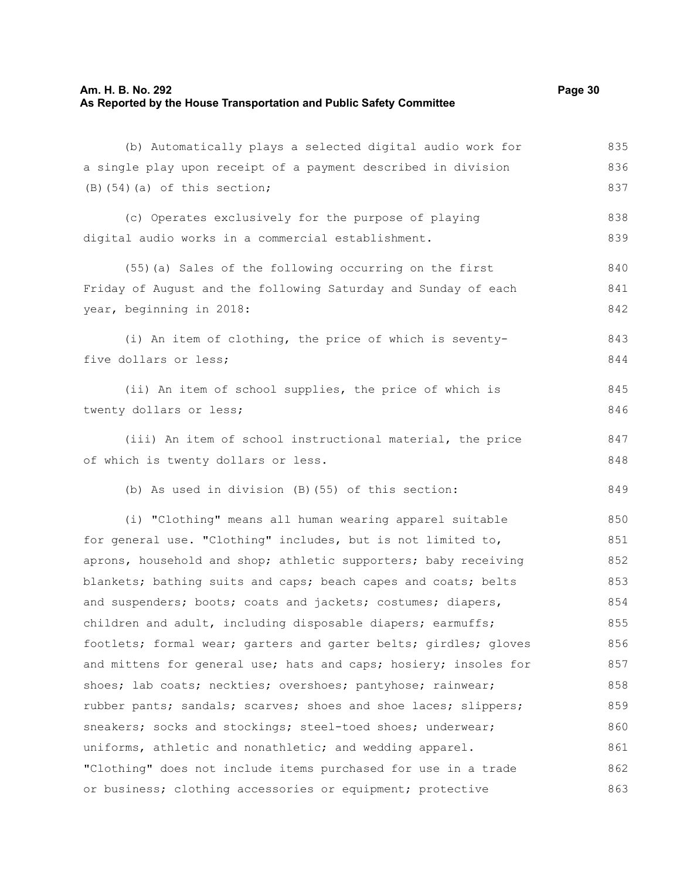### **Am. H. B. No. 292 Page 30 As Reported by the House Transportation and Public Safety Committee**

(b) Automatically plays a selected digital audio work for a single play upon receipt of a payment described in division  $(B)$ (54)(a) of this section; (c) Operates exclusively for the purpose of playing digital audio works in a commercial establishment. (55)(a) Sales of the following occurring on the first Friday of August and the following Saturday and Sunday of each year, beginning in 2018: (i) An item of clothing, the price of which is seventyfive dollars or less; (ii) An item of school supplies, the price of which is twenty dollars or less; (iii) An item of school instructional material, the price of which is twenty dollars or less. (b) As used in division (B)(55) of this section: (i) "Clothing" means all human wearing apparel suitable for general use. "Clothing" includes, but is not limited to, aprons, household and shop; athletic supporters; baby receiving blankets; bathing suits and caps; beach capes and coats; belts and suspenders; boots; coats and jackets; costumes; diapers, children and adult, including disposable diapers; earmuffs; footlets; formal wear; garters and garter belts; girdles; gloves and mittens for general use; hats and caps; hosiery; insoles for shoes; lab coats; neckties; overshoes; pantyhose; rainwear; rubber pants; sandals; scarves; shoes and shoe laces; slippers; sneakers; socks and stockings; steel-toed shoes; underwear; uniforms, athletic and nonathletic; and wedding apparel. 835 836 837 838 839 840 841 842 843 844 845 846 847 848 849 850 851 852 853 854 855 856 857 858 859 860

"Clothing" does not include items purchased for use in a trade or business; clothing accessories or equipment; protective 861 862 863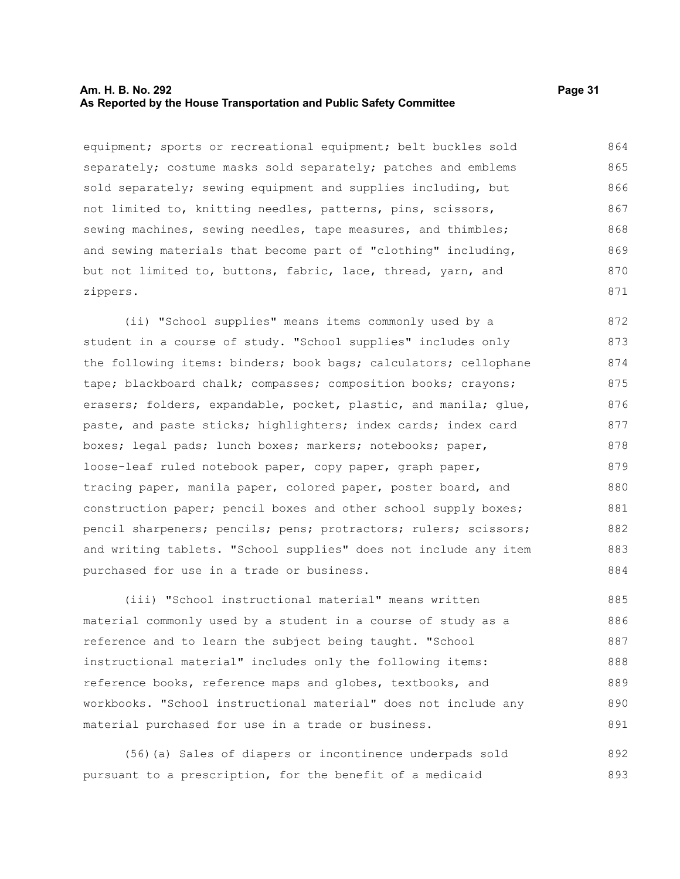#### **Am. H. B. No. 292 Page 31 As Reported by the House Transportation and Public Safety Committee**

equipment; sports or recreational equipment; belt buckles sold separately; costume masks sold separately; patches and emblems sold separately; sewing equipment and supplies including, but not limited to, knitting needles, patterns, pins, scissors, sewing machines, sewing needles, tape measures, and thimbles; and sewing materials that become part of "clothing" including, but not limited to, buttons, fabric, lace, thread, yarn, and zippers. 864 865 866 867 868 869 870 871

(ii) "School supplies" means items commonly used by a student in a course of study. "School supplies" includes only the following items: binders; book bags; calculators; cellophane tape; blackboard chalk; compasses; composition books; crayons; erasers; folders, expandable, pocket, plastic, and manila; glue, paste, and paste sticks; highlighters; index cards; index card boxes; legal pads; lunch boxes; markers; notebooks; paper, loose-leaf ruled notebook paper, copy paper, graph paper, tracing paper, manila paper, colored paper, poster board, and construction paper; pencil boxes and other school supply boxes; pencil sharpeners; pencils; pens; protractors; rulers; scissors; and writing tablets. "School supplies" does not include any item purchased for use in a trade or business. 872 873 874 875 876 877 878 879 880 881 882 883 884

(iii) "School instructional material" means written material commonly used by a student in a course of study as a reference and to learn the subject being taught. "School instructional material" includes only the following items: reference books, reference maps and globes, textbooks, and workbooks. "School instructional material" does not include any material purchased for use in a trade or business. 885 886 887 888 889 890 891

(56)(a) Sales of diapers or incontinence underpads sold pursuant to a prescription, for the benefit of a medicaid 892 893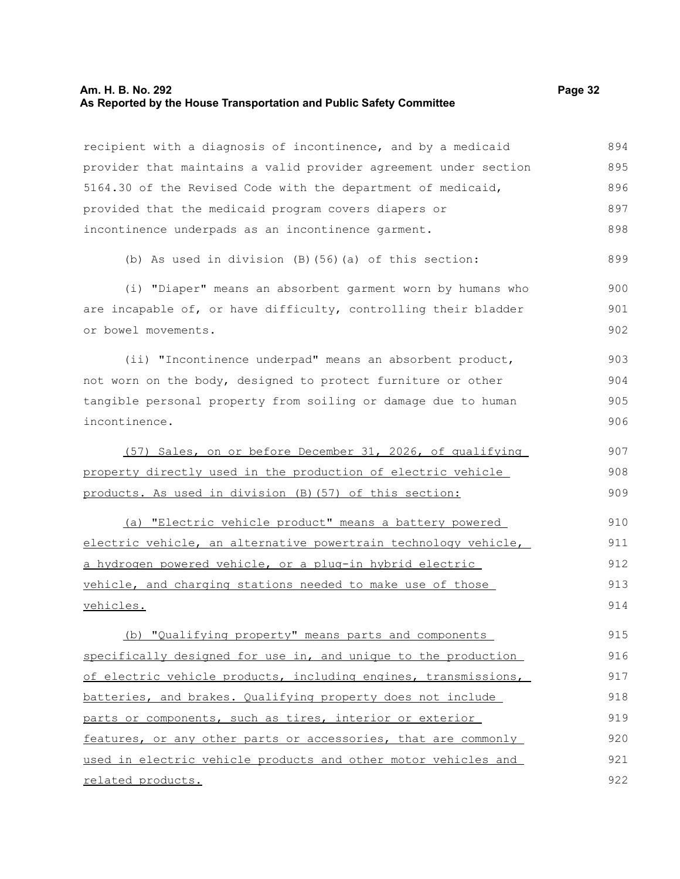#### **Am. H. B. No. 292 Page 32 As Reported by the House Transportation and Public Safety Committee**

recipient with a diagnosis of incontinence, and by a medicaid provider that maintains a valid provider agreement under section 5164.30 of the Revised Code with the department of medicaid, provided that the medicaid program covers diapers or incontinence underpads as an incontinence garment. 894 895 896 897 898

(b) As used in division (B)(56)(a) of this section: 899

(i) "Diaper" means an absorbent garment worn by humans who are incapable of, or have difficulty, controlling their bladder or bowel movements. 900 901 902

(ii) "Incontinence underpad" means an absorbent product, not worn on the body, designed to protect furniture or other tangible personal property from soiling or damage due to human incontinence. 903 904 905 906

(57) Sales, on or before December 31, 2026, of qualifying property directly used in the production of electric vehicle products. As used in division (B)(57) of this section: 907 908 909

(a) "Electric vehicle product" means a battery powered electric vehicle, an alternative powertrain technology vehicle, a hydrogen powered vehicle, or a plug-in hybrid electric vehicle, and charging stations needed to make use of those vehicles. 910 911 912 913 914

(b) "Qualifying property" means parts and components specifically designed for use in, and unique to the production of electric vehicle products, including engines, transmissions, batteries, and brakes. Qualifying property does not include parts or components, such as tires, interior or exterior features, or any other parts or accessories, that are commonly used in electric vehicle products and other motor vehicles and related products. 915 916 917 918 919 920 921 922